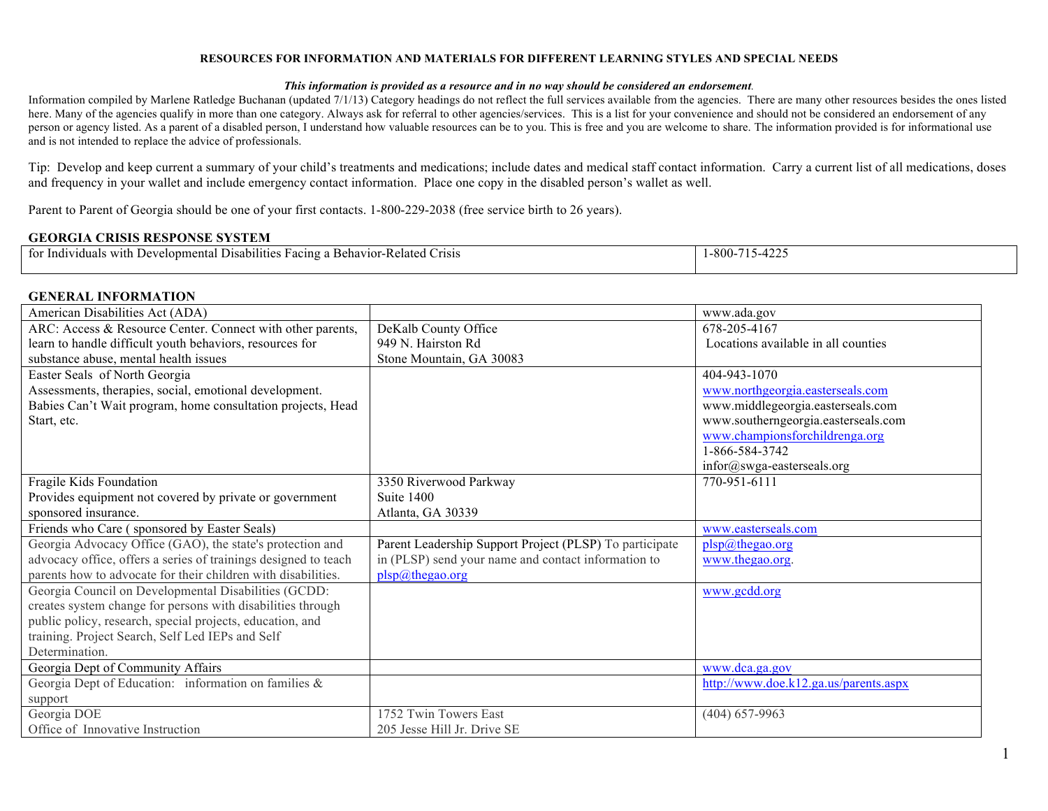#### **RESOURCES FOR INFORMATION AND MATERIALS FOR DIFFERENT LEARNING STYLES AND SPECIAL NEEDS**

#### *This information is provided as a resource and in no way should be considered an endorsement.*

Information compiled by Marlene Ratledge Buchanan (updated 7/1/13) Category headings do not reflect the full services available from the agencies. There are many other resources besides the ones listed here. Many of the agencies qualify in more than one category. Always ask for referral to other agencies/services. This is a list for your convenience and should not be considered an endorsement of any person or agency listed. As a parent of a disabled person, I understand how valuable resources can be to you. This is free and you are welcome to share. The information provided is for informational use and is not intended to replace the advice of professionals.

Tip: Develop and keep current a summary of your child's treatments and medications; include dates and medical staff contact information. Carry a current list of all medications, doses and frequency in your wallet and include emergency contact information. Place one copy in the disabled person's wallet as well.

Parent to Parent of Georgia should be one of your first contacts. 1-800-229-2038 (free service birth to 26 years).

#### **GEORGIA CRISIS RESPONSE SYSTEM**

| Disabilitie<br>TO1<br>atect:<br>acing a<br>risis -<br>dividuals<br>elonmental<br>ehavior-<br>1 L I<br> | $\sqrt{2}$<br>-800-<br>--- |
|--------------------------------------------------------------------------------------------------------|----------------------------|
|                                                                                                        |                            |

#### **GENERAL INFORMATION**

| American Disabilities Act (ADA)                                 |                                                         | www.ada.gov                           |
|-----------------------------------------------------------------|---------------------------------------------------------|---------------------------------------|
| ARC: Access & Resource Center. Connect with other parents,      | DeKalb County Office                                    | 678-205-4167                          |
| learn to handle difficult youth behaviors, resources for        | 949 N. Hairston Rd                                      | Locations available in all counties   |
| substance abuse, mental health issues                           | Stone Mountain, GA 30083                                |                                       |
| Easter Seals of North Georgia                                   |                                                         | 404-943-1070                          |
| Assessments, therapies, social, emotional development.          |                                                         | www.northgeorgia.easterseals.com      |
| Babies Can't Wait program, home consultation projects, Head     |                                                         | www.middlegeorgia.easterseals.com     |
| Start, etc.                                                     |                                                         | www.southerngeorgia.easterseals.com   |
|                                                                 |                                                         | www.championsforchildrenga.org        |
|                                                                 |                                                         | 1-866-584-3742                        |
|                                                                 |                                                         | infor@swga-easterseals.org            |
| Fragile Kids Foundation                                         | 3350 Riverwood Parkway                                  | 770-951-6111                          |
| Provides equipment not covered by private or government         | Suite 1400                                              |                                       |
| sponsored insurance.                                            | Atlanta, GA 30339                                       |                                       |
| Friends who Care (sponsored by Easter Seals)                    |                                                         | www.easterseals.com                   |
| Georgia Advocacy Office (GAO), the state's protection and       | Parent Leadership Support Project (PLSP) To participate | plsp@thegao.org                       |
| advocacy office, offers a series of trainings designed to teach | in (PLSP) send your name and contact information to     | www.thegao.org.                       |
| parents how to advocate for their children with disabilities.   | plsp@thegao.org                                         |                                       |
| Georgia Council on Developmental Disabilities (GCDD:            |                                                         | www.gcdd.org                          |
| creates system change for persons with disabilities through     |                                                         |                                       |
| public policy, research, special projects, education, and       |                                                         |                                       |
| training. Project Search, Self Led IEPs and Self                |                                                         |                                       |
| Determination.                                                  |                                                         |                                       |
| Georgia Dept of Community Affairs                               |                                                         | www.dca.ga.gov                        |
| Georgia Dept of Education: information on families &            |                                                         | http://www.doe.k12.ga.us/parents.aspx |
| support                                                         |                                                         |                                       |
| Georgia DOE                                                     | 1752 Twin Towers East                                   | $(404) 657 - 9963$                    |
| Office of Innovative Instruction                                | 205 Jesse Hill Jr. Drive SE                             |                                       |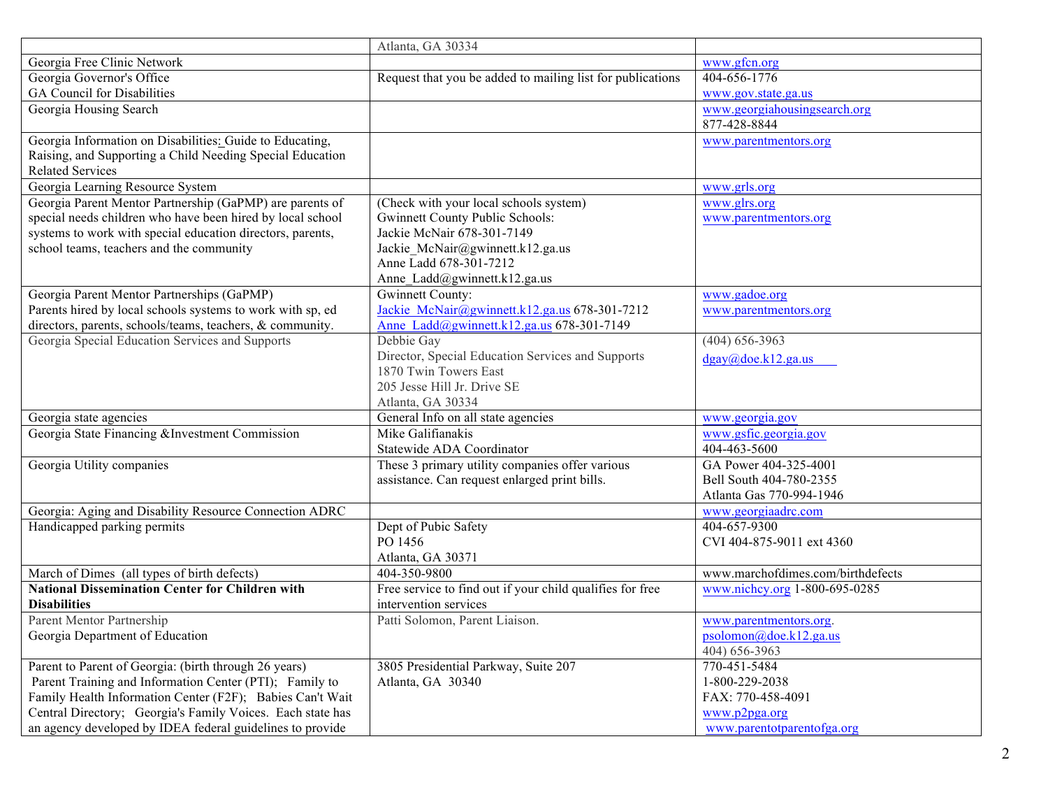|                                                            | Atlanta, GA 30334                                          |                                   |
|------------------------------------------------------------|------------------------------------------------------------|-----------------------------------|
| Georgia Free Clinic Network                                |                                                            | www.gfcn.org                      |
| Georgia Governor's Office                                  | Request that you be added to mailing list for publications | 404-656-1776                      |
| <b>GA Council for Disabilities</b>                         |                                                            | www.gov.state.ga.us               |
| Georgia Housing Search                                     |                                                            | www.georgiahousingsearch.org      |
|                                                            |                                                            | 877-428-8844                      |
| Georgia Information on Disabilities: Guide to Educating,   |                                                            | www.parentmentors.org             |
| Raising, and Supporting a Child Needing Special Education  |                                                            |                                   |
| <b>Related Services</b>                                    |                                                            |                                   |
| Georgia Learning Resource System                           |                                                            | www.grls.org                      |
| Georgia Parent Mentor Partnership (GaPMP) are parents of   | (Check with your local schools system)                     | www.glrs.org                      |
| special needs children who have been hired by local school | <b>Gwinnett County Public Schools:</b>                     | www.parentmentors.org             |
| systems to work with special education directors, parents, | Jackie McNair 678-301-7149                                 |                                   |
| school teams, teachers and the community                   | Jackie_McNair@gwinnett.k12.ga.us                           |                                   |
|                                                            | Anne Ladd 678-301-7212                                     |                                   |
|                                                            | Anne_Ladd@gwinnett.k12.ga.us                               |                                   |
| Georgia Parent Mentor Partnerships (GaPMP)                 | <b>Gwinnett County:</b>                                    | www.gadoe.org                     |
| Parents hired by local schools systems to work with sp, ed | Jackie McNair@gwinnett.k12.ga.us 678-301-7212              | www.parentmentors.org             |
| directors, parents, schools/teams, teachers, & community.  | Anne Ladd@gwinnett.k12.ga.us 678-301-7149                  |                                   |
| Georgia Special Education Services and Supports            | Debbie Gay                                                 | $(404) 656 - 3963$                |
|                                                            | Director, Special Education Services and Supports          | $d$ gay@doe.k12.ga.us             |
|                                                            | 1870 Twin Towers East                                      |                                   |
|                                                            | 205 Jesse Hill Jr. Drive SE                                |                                   |
|                                                            | Atlanta, GA 30334                                          |                                   |
| Georgia state agencies                                     | General Info on all state agencies                         | www.georgia.gov                   |
| Georgia State Financing & Investment Commission            | Mike Galifianakis                                          | www.gsfic.georgia.gov             |
|                                                            | Statewide ADA Coordinator                                  | 404-463-5600                      |
| Georgia Utility companies                                  | These 3 primary utility companies offer various            | GA Power 404-325-4001             |
|                                                            | assistance. Can request enlarged print bills.              | Bell South 404-780-2355           |
|                                                            |                                                            | Atlanta Gas 770-994-1946          |
| Georgia: Aging and Disability Resource Connection ADRC     |                                                            | www.georgiaadrc.com               |
| Handicapped parking permits                                | Dept of Pubic Safety                                       | 404-657-9300                      |
|                                                            | PO 1456                                                    | CVI 404-875-9011 ext 4360         |
|                                                            | Atlanta, GA 30371                                          |                                   |
| March of Dimes (all types of birth defects)                | 404-350-9800                                               | www.marchofdimes.com/birthdefects |
| <b>National Dissemination Center for Children with</b>     | Free service to find out if your child qualifies for free  | www.nichcy.org 1-800-695-0285     |
| <b>Disabilities</b>                                        | intervention services                                      |                                   |
| Parent Mentor Partnership                                  | Patti Solomon, Parent Liaison.                             | www.parentmentors.org.            |
| Georgia Department of Education                            |                                                            | psolomon@doe.k12.ga.us            |
|                                                            |                                                            | 404) 656-3963                     |
| Parent to Parent of Georgia: (birth through 26 years)      | 3805 Presidential Parkway, Suite 207                       | 770-451-5484                      |
| Parent Training and Information Center (PTI); Family to    | Atlanta, GA 30340                                          | 1-800-229-2038                    |
| Family Health Information Center (F2F); Babies Can't Wait  |                                                            | FAX: 770-458-4091                 |
| Central Directory; Georgia's Family Voices. Each state has |                                                            | www.p2pga.org                     |
| an agency developed by IDEA federal guidelines to provide  |                                                            | www.parentotparentofga.org        |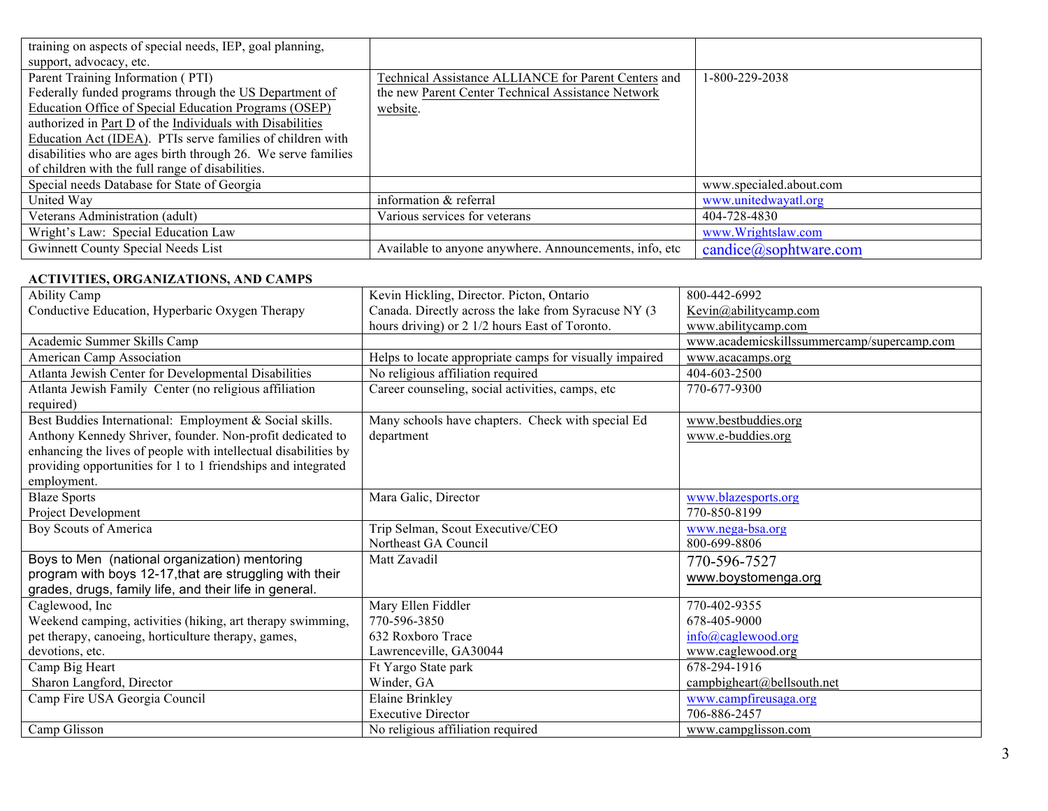| training on aspects of special needs, IEP, goal planning,     |                                                        |                            |
|---------------------------------------------------------------|--------------------------------------------------------|----------------------------|
| support, advocacy, etc.                                       |                                                        |                            |
| Parent Training Information (PTI)                             | Technical Assistance ALLIANCE for Parent Centers and   | 1-800-229-2038             |
| Federally funded programs through the US Department of        | the new Parent Center Technical Assistance Network     |                            |
| Education Office of Special Education Programs (OSEP)         | website.                                               |                            |
| authorized in Part D of the Individuals with Disabilities     |                                                        |                            |
| Education Act (IDEA). PTIs serve families of children with    |                                                        |                            |
| disabilities who are ages birth through 26. We serve families |                                                        |                            |
| of children with the full range of disabilities.              |                                                        |                            |
| Special needs Database for State of Georgia                   |                                                        | www.specialed.about.com    |
| United Way                                                    | information & referral                                 | www.unitedwayatl.org       |
| Veterans Administration (adult)                               | Various services for veterans                          | 404-728-4830               |
| Wright's Law: Special Education Law                           |                                                        | www.Wrightslaw.com         |
| Gwinnett County Special Needs List                            | Available to anyone anywhere. Announcements, info, etc | $candice(a)$ sophtware.com |

#### **ACTIVITIES, ORGANIZATIONS, AND CAMPS**

| <b>Ability Camp</b>                                             | Kevin Hickling, Director. Picton, Ontario               | 800-442-6992                               |
|-----------------------------------------------------------------|---------------------------------------------------------|--------------------------------------------|
| Conductive Education, Hyperbaric Oxygen Therapy                 | Canada. Directly across the lake from Syracuse NY (3)   | Kevin@abilitycamp.com                      |
|                                                                 | hours driving) or 2 1/2 hours East of Toronto.          | www.abilitycamp.com                        |
| Academic Summer Skills Camp                                     |                                                         | www.academicskillssummercamp/supercamp.com |
| American Camp Association                                       | Helps to locate appropriate camps for visually impaired | www.acacamps.org                           |
| Atlanta Jewish Center for Developmental Disabilities            | No religious affiliation required                       | 404-603-2500                               |
| Atlanta Jewish Family Center (no religious affiliation          | Career counseling, social activities, camps, etc        | 770-677-9300                               |
| required)                                                       |                                                         |                                            |
| Best Buddies International: Employment & Social skills.         | Many schools have chapters. Check with special Ed       | www.bestbuddies.org                        |
| Anthony Kennedy Shriver, founder. Non-profit dedicated to       | department                                              | www.e-buddies.org                          |
| enhancing the lives of people with intellectual disabilities by |                                                         |                                            |
| providing opportunities for 1 to 1 friendships and integrated   |                                                         |                                            |
| employment.                                                     |                                                         |                                            |
| <b>Blaze Sports</b>                                             | Mara Galic, Director                                    | www.blazesports.org                        |
| Project Development                                             |                                                         | 770-850-8199                               |
| Boy Scouts of America                                           | Trip Selman, Scout Executive/CEO                        | www.nega-bsa.org                           |
|                                                                 | Northeast GA Council                                    | 800-699-8806                               |
| Boys to Men (national organization) mentoring                   | Matt Zavadil                                            | 770-596-7527                               |
| program with boys 12-17, that are struggling with their         |                                                         | www.boystomenga.org                        |
| grades, drugs, family life, and their life in general.          |                                                         |                                            |
| Caglewood, Inc                                                  | Mary Ellen Fiddler                                      | 770-402-9355                               |
| Weekend camping, activities (hiking, art therapy swimming,      | 770-596-3850                                            | 678-405-9000                               |
| pet therapy, canoeing, horticulture therapy, games,             | 632 Roxboro Trace                                       | info@caglewood.org                         |
| devotions, etc.                                                 | Lawrenceville, GA30044                                  | www.caglewood.org                          |
| Camp Big Heart                                                  | Ft Yargo State park                                     | 678-294-1916                               |
| Sharon Langford, Director                                       | Winder, GA                                              | campbigheart@bellsouth.net                 |
| Camp Fire USA Georgia Council                                   | Elaine Brinkley                                         | www.campfireusaga.org                      |
|                                                                 | <b>Executive Director</b>                               | 706-886-2457                               |
| Camp Glisson                                                    | No religious affiliation required                       | www.campglisson.com                        |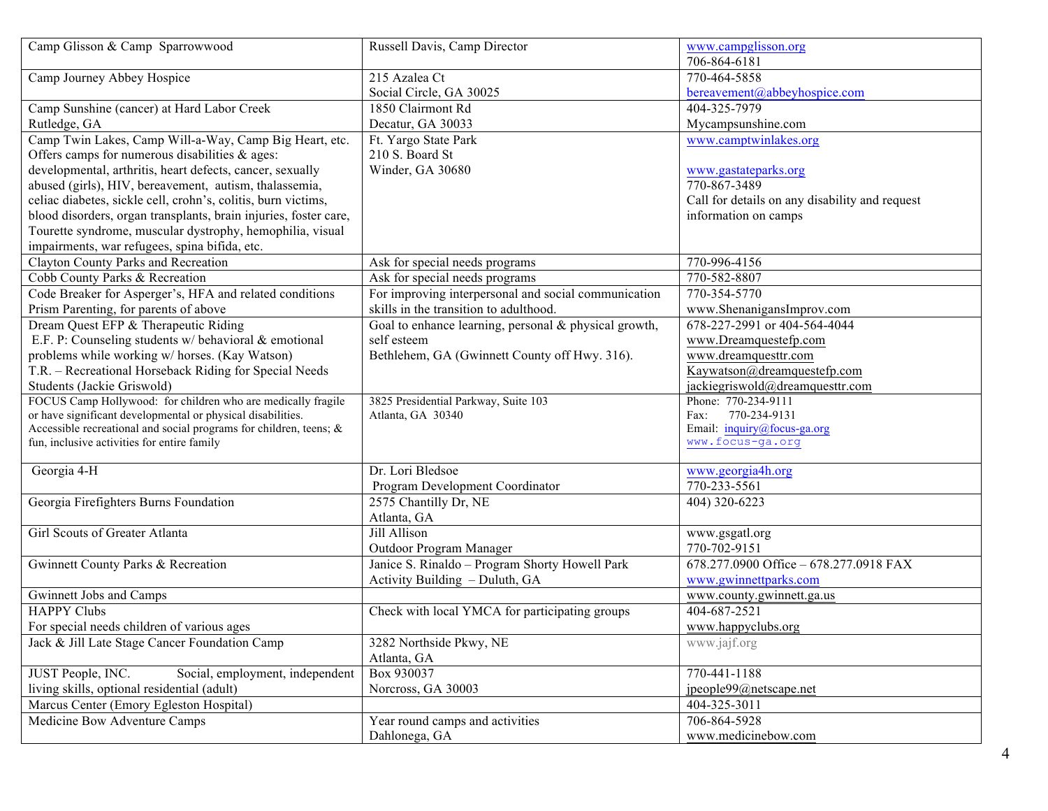| Camp Glisson & Camp Sparrowwood                                       | Russell Davis, Camp Director                          | www.campglisson.org<br>706-864-6181            |
|-----------------------------------------------------------------------|-------------------------------------------------------|------------------------------------------------|
| Camp Journey Abbey Hospice                                            | 215 Azalea Ct                                         | 770-464-5858                                   |
|                                                                       | Social Circle, GA 30025                               | bereavement@abbeyhospice.com                   |
| Camp Sunshine (cancer) at Hard Labor Creek                            | 1850 Clairmont Rd                                     | 404-325-7979                                   |
| Rutledge, GA                                                          | Decatur, GA 30033                                     | Mycampsunshine.com                             |
| Camp Twin Lakes, Camp Will-a-Way, Camp Big Heart, etc.                | Ft. Yargo State Park                                  | www.camptwinlakes.org                          |
| Offers camps for numerous disabilities & ages:                        | 210 S. Board St                                       |                                                |
| developmental, arthritis, heart defects, cancer, sexually             | Winder, GA 30680                                      | www.gastateparks.org                           |
| abused (girls), HIV, bereavement, autism, thalassemia,                |                                                       | 770-867-3489                                   |
| celiac diabetes, sickle cell, crohn's, colitis, burn victims,         |                                                       | Call for details on any disability and request |
| blood disorders, organ transplants, brain injuries, foster care,      |                                                       | information on camps                           |
| Tourette syndrome, muscular dystrophy, hemophilia, visual             |                                                       |                                                |
| impairments, war refugees, spina bifida, etc.                         |                                                       |                                                |
| Clayton County Parks and Recreation                                   | Ask for special needs programs                        | 770-996-4156                                   |
| Cobb County Parks & Recreation                                        | Ask for special needs programs                        | 770-582-8807                                   |
| Code Breaker for Asperger's, HFA and related conditions               | For improving interpersonal and social communication  | 770-354-5770                                   |
| Prism Parenting, for parents of above                                 | skills in the transition to adulthood.                | www.ShenanigansImprov.com                      |
| Dream Quest EFP & Therapeutic Riding                                  | Goal to enhance learning, personal & physical growth, | 678-227-2991 or 404-564-4044                   |
| E.F. P: Counseling students w/ behavioral & emotional                 | self esteem                                           | www.Dreamquestefp.com                          |
| problems while working w/ horses. (Kay Watson)                        | Bethlehem, GA (Gwinnett County off Hwy. 316).         | www.dreamquesttr.com                           |
| T.R. - Recreational Horseback Riding for Special Needs                |                                                       | Kaywatson@dreamquestefp.com                    |
| Students (Jackie Griswold)                                            |                                                       | jackiegriswold@dreamquesttr.com                |
| FOCUS Camp Hollywood: for children who are medically fragile          | 3825 Presidential Parkway, Suite 103                  | Phone: 770-234-9111                            |
| or have significant developmental or physical disabilities.           | Atlanta, GA 30340                                     | 770-234-9131<br>Fax:                           |
| Accessible recreational and social programs for children, teens; $\&$ |                                                       | Email: inquiry@focus-ga.org                    |
| fun, inclusive activities for entire family                           |                                                       | www.focus-ga.org                               |
| Georgia 4-H                                                           | Dr. Lori Bledsoe                                      | www.georgia4h.org                              |
|                                                                       | Program Development Coordinator                       | 770-233-5561                                   |
| Georgia Firefighters Burns Foundation                                 | 2575 Chantilly Dr, NE                                 | 404) 320-6223                                  |
|                                                                       | Atlanta, GA                                           |                                                |
| Girl Scouts of Greater Atlanta                                        | Jill Allison                                          | www.gsgatl.org                                 |
|                                                                       | Outdoor Program Manager                               | 770-702-9151                                   |
| Gwinnett County Parks & Recreation                                    | Janice S. Rinaldo - Program Shorty Howell Park        | 678.277.0900 Office - 678.277.0918 FAX         |
|                                                                       | Activity Building - Duluth, GA                        | www.gwinnettparks.com                          |
| Gwinnett Jobs and Camps                                               |                                                       | www.county.gwinnett.ga.us                      |
| <b>HAPPY Clubs</b>                                                    | Check with local YMCA for participating groups        | 404-687-2521                                   |
| For special needs children of various ages                            |                                                       | www.happyclubs.org                             |
| Jack & Jill Late Stage Cancer Foundation Camp                         | 3282 Northside Pkwy, NE                               | www.jajf.org                                   |
|                                                                       | Atlanta, GA                                           |                                                |
| JUST People, INC.<br>Social, employment, independent                  | Box 930037                                            | 770-441-1188                                   |
| living skills, optional residential (adult)                           | Norcross, GA 30003                                    | jpeople99@netscape.net                         |
| Marcus Center (Emory Egleston Hospital)                               |                                                       | 404-325-3011                                   |
| Medicine Bow Adventure Camps                                          | Year round camps and activities                       | 706-864-5928                                   |
|                                                                       | Dahlonega, GA                                         | www.medicinebow.com                            |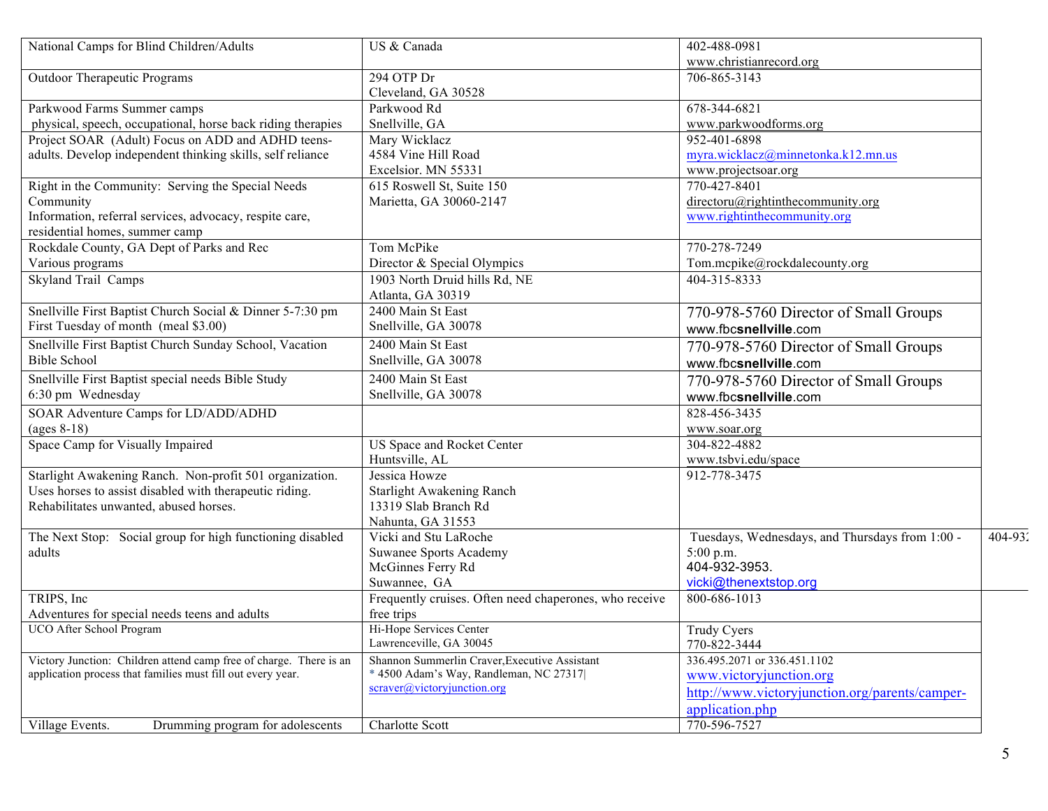| National Camps for Blind Children/Adults                           | US & Canada                                            | 402-488-0981                                    |         |
|--------------------------------------------------------------------|--------------------------------------------------------|-------------------------------------------------|---------|
|                                                                    |                                                        | www.christianrecord.org                         |         |
| Outdoor Therapeutic Programs                                       | 294 OTP Dr                                             | 706-865-3143                                    |         |
|                                                                    | Cleveland, GA 30528                                    |                                                 |         |
| Parkwood Farms Summer camps                                        | Parkwood Rd                                            | 678-344-6821                                    |         |
| physical, speech, occupational, horse back riding therapies        | Snellville, GA                                         | www.parkwoodforms.org                           |         |
| Project SOAR (Adult) Focus on ADD and ADHD teens-                  | Mary Wicklacz                                          | 952-401-6898                                    |         |
| adults. Develop independent thinking skills, self reliance         | 4584 Vine Hill Road                                    | myra.wicklacz@minnetonka.k12.mn.us              |         |
|                                                                    | Excelsior. MN 55331                                    | www.projectsoar.org                             |         |
| Right in the Community: Serving the Special Needs                  | 615 Roswell St, Suite 150                              | 770-427-8401                                    |         |
| Community                                                          | Marietta, GA 30060-2147                                | directoru@rightinthecommunity.org               |         |
| Information, referral services, advocacy, respite care,            |                                                        | www.rightinthecommunity.org                     |         |
| residential homes, summer camp                                     |                                                        |                                                 |         |
| Rockdale County, GA Dept of Parks and Rec                          | Tom McPike                                             | 770-278-7249                                    |         |
| Various programs                                                   | Director & Special Olympics                            | Tom.mcpike@rockdalecounty.org                   |         |
| <b>Skyland Trail Camps</b>                                         | 1903 North Druid hills Rd, NE                          | 404-315-8333                                    |         |
|                                                                    | Atlanta, GA 30319                                      |                                                 |         |
| Snellville First Baptist Church Social & Dinner 5-7:30 pm          | 2400 Main St East                                      | 770-978-5760 Director of Small Groups           |         |
| First Tuesday of month (meal \$3.00)                               | Snellville, GA 30078                                   | www.fbcsnellville.com                           |         |
| Snellville First Baptist Church Sunday School, Vacation            | 2400 Main St East                                      | 770-978-5760 Director of Small Groups           |         |
| <b>Bible School</b>                                                | Snellville, GA 30078                                   | www.fbcsnellville.com                           |         |
| Snellville First Baptist special needs Bible Study                 | 2400 Main St East                                      | 770-978-5760 Director of Small Groups           |         |
| 6:30 pm Wednesday                                                  | Snellville, GA 30078                                   | www.fbcsnellville.com                           |         |
| SOAR Adventure Camps for LD/ADD/ADHD                               |                                                        | 828-456-3435                                    |         |
| $\left( \text{ages } 8-18 \right)$                                 |                                                        | www.soar.org                                    |         |
| Space Camp for Visually Impaired                                   | US Space and Rocket Center                             | 304-822-4882                                    |         |
|                                                                    | Huntsville, AL                                         | www.tsbvi.edu/space                             |         |
| Starlight Awakening Ranch. Non-profit 501 organization.            | Jessica Howze                                          | 912-778-3475                                    |         |
| Uses horses to assist disabled with therapeutic riding.            | <b>Starlight Awakening Ranch</b>                       |                                                 |         |
| Rehabilitates unwanted, abused horses.                             | 13319 Slab Branch Rd                                   |                                                 |         |
|                                                                    | Nahunta, GA 31553                                      |                                                 |         |
| The Next Stop: Social group for high functioning disabled          | Vicki and Stu LaRoche                                  | Tuesdays, Wednesdays, and Thursdays from 1:00 - | 404-932 |
| adults                                                             | <b>Suwanee Sports Academy</b>                          | $5:00$ p.m.                                     |         |
|                                                                    | McGinnes Ferry Rd                                      | 404-932-3953.                                   |         |
|                                                                    | Suwannee, GA                                           | vicki@thenextstop.org                           |         |
| TRIPS, Inc.                                                        | Frequently cruises. Often need chaperones, who receive | 800-686-1013                                    |         |
| Adventures for special needs teens and adults                      | free trips                                             |                                                 |         |
| UCO After School Program                                           | Hi-Hope Services Center                                | Trudy Cyers                                     |         |
|                                                                    | Lawrenceville, GA 30045                                | 770-822-3444                                    |         |
| Victory Junction: Children attend camp free of charge. There is an | Shannon Summerlin Craver, Executive Assistant          | 336.495.2071 or 336.451.1102                    |         |
| application process that families must fill out every year.        | * 4500 Adam's Way, Randleman, NC 27317                 | www.victoryjunction.org                         |         |
|                                                                    | $\text{scraver}(a\text{,victory}$ unction.org          | http://www.victoryjunction.org/parents/camper-  |         |
|                                                                    |                                                        | application.php                                 |         |
| Village Events.<br>Drumming program for adolescents                | Charlotte Scott                                        | 770-596-7527                                    |         |
|                                                                    |                                                        |                                                 |         |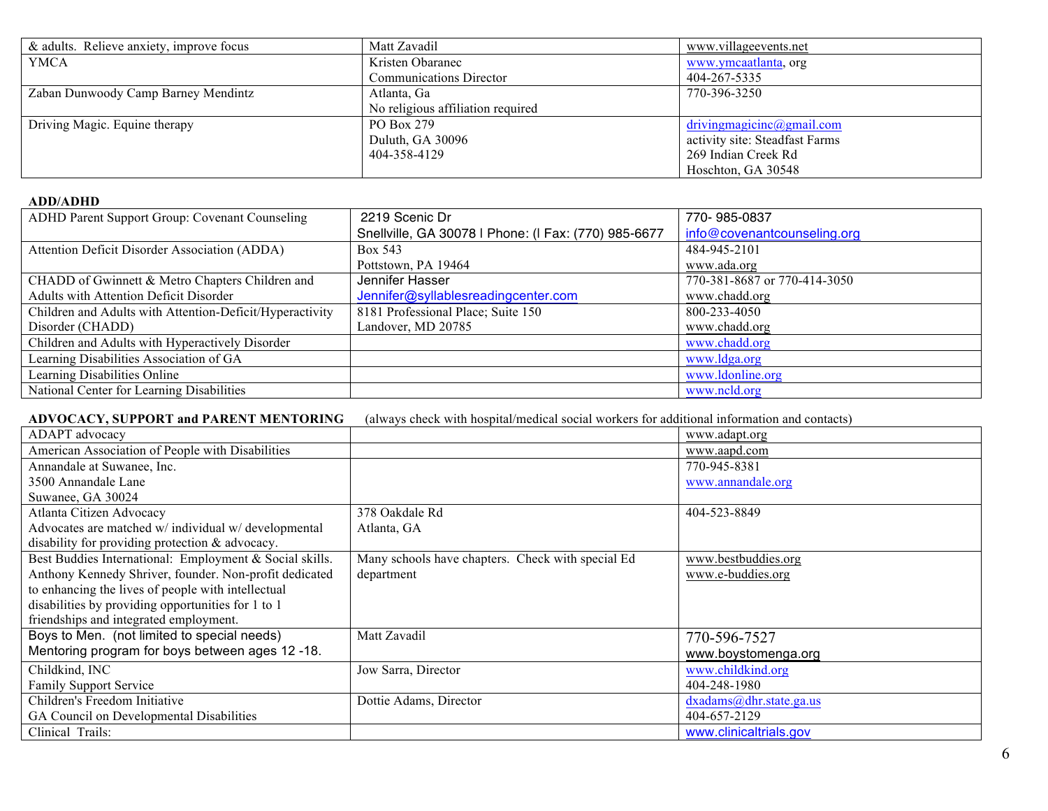| & adults. Relieve anxiety, improve focus | Matt Zavadil                      | www.villageevents.net          |
|------------------------------------------|-----------------------------------|--------------------------------|
| YMCA                                     | Kristen Obaranec                  | www.ymcaatlanta, org           |
|                                          | <b>Communications Director</b>    | 404-267-5335                   |
| Zaban Dunwoody Camp Barney Mendintz      | Atlanta, Ga                       | 770-396-3250                   |
|                                          | No religious affiliation required |                                |
| Driving Magic. Equine therapy            | PO Box 279                        | driving magic inc@gmail.com    |
|                                          | Duluth, GA 30096                  | activity site: Steadfast Farms |
|                                          | 404-358-4129                      | 269 Indian Creek Rd            |
|                                          |                                   | Hoschton, GA 30548             |

# **ADD/ADHD**

| ADHD Parent Support Group: Covenant Counseling           | 2219 Scenic Dr                                       | 770-985-0837                 |
|----------------------------------------------------------|------------------------------------------------------|------------------------------|
|                                                          | Snellville, GA 30078   Phone: (I Fax: (770) 985-6677 | info@covenantcounseling.org  |
| Attention Deficit Disorder Association (ADDA)            | Box 543                                              | 484-945-2101                 |
|                                                          | Pottstown, PA 19464                                  | www.ada.org                  |
| CHADD of Gwinnett & Metro Chapters Children and          | Jennifer Hasser                                      | 770-381-8687 or 770-414-3050 |
| Adults with Attention Deficit Disorder                   | Jennifer@syllablesreadingcenter.com                  | www.chadd.org                |
| Children and Adults with Attention-Deficit/Hyperactivity | 8181 Professional Place; Suite 150                   | 800-233-4050                 |
| Disorder (CHADD)                                         | Landover, MD 20785                                   | www.chadd.org                |
| Children and Adults with Hyperactively Disorder          |                                                      | www.chadd.org                |
| Learning Disabilities Association of GA                  |                                                      | www.ldga.org                 |
| Learning Disabilities Online                             |                                                      | www.ldonline.org             |
| National Center for Learning Disabilities                |                                                      | www.ncld.org                 |

**ADVOCACY, SUPPORT and PARENT MENTORING** (always check with hospital/medical social workers for additional information and contacts)

| ADAPT advocacy                                          |                                                   | www.adapt.org           |
|---------------------------------------------------------|---------------------------------------------------|-------------------------|
| American Association of People with Disabilities        |                                                   | www.aapd.com            |
| Annandale at Suwanee, Inc.                              |                                                   | 770-945-8381            |
| 3500 Annandale Lane                                     |                                                   | www.annandale.org       |
| Suwanee, GA 30024                                       |                                                   |                         |
| Atlanta Citizen Advocacy                                | 378 Oakdale Rd                                    | 404-523-8849            |
| Advocates are matched w/ individual w/ developmental    | Atlanta, GA                                       |                         |
| disability for providing protection & advocacy.         |                                                   |                         |
| Best Buddies International: Employment & Social skills. | Many schools have chapters. Check with special Ed | www.bestbuddies.org     |
| Anthony Kennedy Shriver, founder. Non-profit dedicated  | department                                        | www.e-buddies.org       |
| to enhancing the lives of people with intellectual      |                                                   |                         |
| disabilities by providing opportunities for 1 to 1      |                                                   |                         |
| friendships and integrated employment.                  |                                                   |                         |
| Boys to Men. (not limited to special needs)             | Matt Zavadil                                      | 770-596-7527            |
| Mentoring program for boys between ages 12-18.          |                                                   | www.boystomenga.org     |
| Childkind, INC                                          | Jow Sarra, Director                               | www.childkind.org       |
| <b>Family Support Service</b>                           |                                                   | 404-248-1980            |
| Children's Freedom Initiative                           | Dottie Adams, Director                            | dxadams@dhr.state.ga.us |
| GA Council on Developmental Disabilities                |                                                   | 404-657-2129            |
| Clinical Trails:                                        |                                                   | www.clinicaltrials.gov  |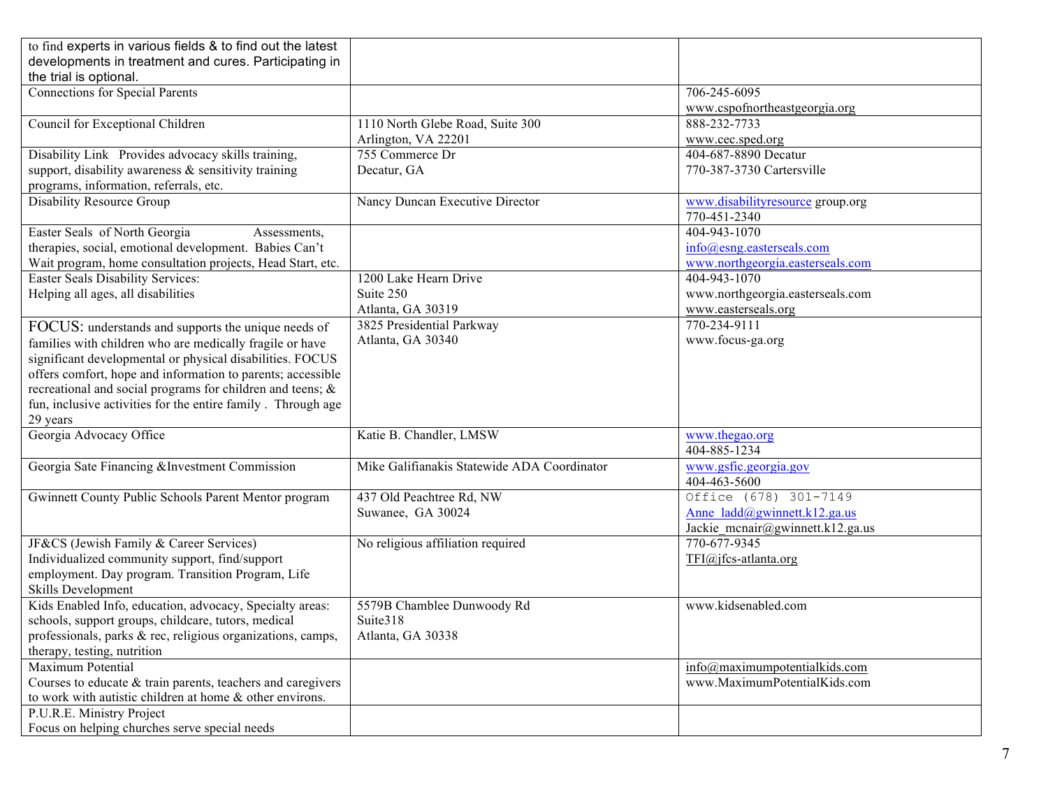| to find experts in various fields & to find out the latest   |                                             |                                               |
|--------------------------------------------------------------|---------------------------------------------|-----------------------------------------------|
| developments in treatment and cures. Participating in        |                                             |                                               |
| the trial is optional.                                       |                                             |                                               |
| <b>Connections for Special Parents</b>                       |                                             | 706-245-6095                                  |
|                                                              |                                             | www.cspofnortheastgeorgia.org<br>888-232-7733 |
| Council for Exceptional Children                             | 1110 North Glebe Road, Suite 300            |                                               |
|                                                              | Arlington, VA 22201                         | www.cec.sped.org                              |
| Disability Link Provides advocacy skills training,           | 755 Commerce Dr                             | 404-687-8890 Decatur                          |
| support, disability awareness & sensitivity training         | Decatur, GA                                 | 770-387-3730 Cartersville                     |
| programs, information, referrals, etc.                       |                                             |                                               |
| Disability Resource Group                                    | Nancy Duncan Executive Director             | www.disabilityresource group.org              |
|                                                              |                                             | 770-451-2340                                  |
| Easter Seals of North Georgia<br>Assessments,                |                                             | 404-943-1070                                  |
| therapies, social, emotional development. Babies Can't       |                                             | $info(\hat{\omega})$ esng.easterseals.com     |
| Wait program, home consultation projects, Head Start, etc.   |                                             | www.northgeorgia.easterseals.com              |
| Easter Seals Disability Services:                            | 1200 Lake Hearn Drive                       | 404-943-1070                                  |
| Helping all ages, all disabilities                           | Suite 250                                   | www.northgeorgia.easterseals.com              |
|                                                              | Atlanta, GA 30319                           | www.easterseals.org                           |
| FOCUS: understands and supports the unique needs of          | 3825 Presidential Parkway                   | 770-234-9111                                  |
| families with children who are medically fragile or have     | Atlanta, GA 30340                           | www.focus-ga.org                              |
| significant developmental or physical disabilities. FOCUS    |                                             |                                               |
| offers comfort, hope and information to parents; accessible  |                                             |                                               |
| recreational and social programs for children and teens; &   |                                             |                                               |
| fun, inclusive activities for the entire family. Through age |                                             |                                               |
| 29 years                                                     |                                             |                                               |
| Georgia Advocacy Office                                      | Katie B. Chandler, LMSW                     | www.thegao.org                                |
|                                                              |                                             | 404-885-1234                                  |
| Georgia Sate Financing &Investment Commission                | Mike Galifianakis Statewide ADA Coordinator | www.gsfic.georgia.gov                         |
|                                                              |                                             | 404-463-5600                                  |
| Gwinnett County Public Schools Parent Mentor program         | 437 Old Peachtree Rd, NW                    | Office (678) 301-7149                         |
|                                                              | Suwanee, GA 30024                           | Anne ladd@gwinnett.k12.ga.us                  |
|                                                              |                                             | Jackie mcnair@gwinnett.k12.ga.us              |
| JF&CS (Jewish Family & Career Services)                      | No religious affiliation required           | 770-677-9345                                  |
| Individualized community support, find/support               |                                             | TFI@jfcs-atlanta.org                          |
| employment. Day program. Transition Program, Life            |                                             |                                               |
| Skills Development                                           |                                             |                                               |
| Kids Enabled Info, education, advocacy, Specialty areas:     | 5579B Chamblee Dunwoody Rd                  | www.kidsenabled.com                           |
| schools, support groups, childcare, tutors, medical          | Suite318                                    |                                               |
| professionals, parks & rec, religious organizations, camps,  | Atlanta, GA 30338                           |                                               |
| therapy, testing, nutrition                                  |                                             |                                               |
| Maximum Potential                                            |                                             | info@maximumpotentialkids.com                 |
| Courses to educate & train parents, teachers and caregivers  |                                             | www.MaximumPotentialKids.com                  |
| to work with autistic children at home & other environs.     |                                             |                                               |
| P.U.R.E. Ministry Project                                    |                                             |                                               |
| Focus on helping churches serve special needs                |                                             |                                               |
|                                                              |                                             |                                               |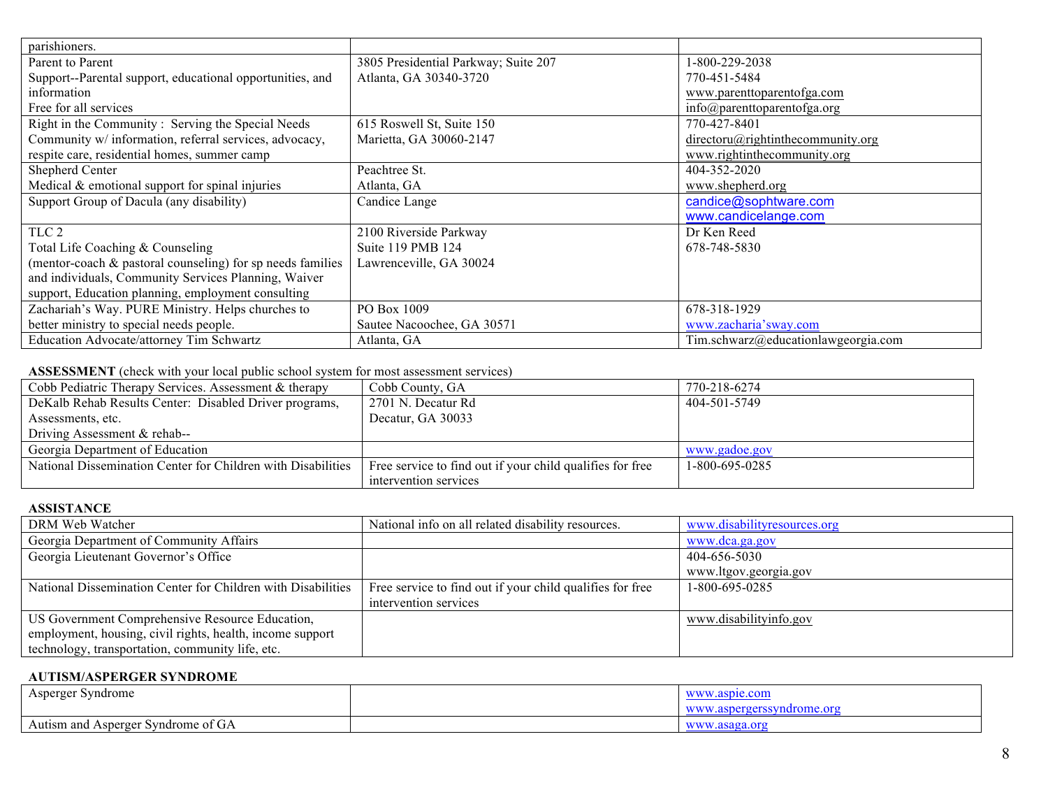| parishioners.                                              |                                      |                                             |
|------------------------------------------------------------|--------------------------------------|---------------------------------------------|
| Parent to Parent                                           | 3805 Presidential Parkway; Suite 207 | 1-800-229-2038                              |
| Support--Parental support, educational opportunities, and  | Atlanta, GA 30340-3720               | 770-451-5484                                |
| information                                                |                                      | www.parenttoparentofga.com                  |
| Free for all services                                      |                                      | $info(\hat{\omega})$ parenttoparentofga.org |
| Right in the Community: Serving the Special Needs          | 615 Roswell St, Suite 150            | 770-427-8401                                |
| Community w/ information, referral services, advocacy,     | Marietta, GA 30060-2147              | $direction(a) right in the community.org$   |
| respite care, residential homes, summer camp               |                                      | www.rightinthecommunity.org                 |
| Shepherd Center                                            | Peachtree St.                        | 404-352-2020                                |
| Medical $&$ emotional support for spinal injuries          | Atlanta, GA                          | www.shepherd.org                            |
| Support Group of Dacula (any disability)                   | Candice Lange                        | candice@sophtware.com                       |
|                                                            |                                      | www.candicelange.com                        |
| TLC 2                                                      | 2100 Riverside Parkway               | Dr Ken Reed                                 |
| Total Life Coaching & Counseling                           | Suite 119 PMB 124                    | 678-748-5830                                |
| (mentor-coach & pastoral counseling) for sp needs families | Lawrenceville, GA 30024              |                                             |
| and individuals, Community Services Planning, Waiver       |                                      |                                             |
| support, Education planning, employment consulting         |                                      |                                             |
| Zachariah's Way. PURE Ministry. Helps churches to          | PO Box 1009                          | 678-318-1929                                |
| better ministry to special needs people.                   | Sautee Nacoochee, GA 30571           | www.zacharia'sway.com                       |
| Education Advocate/attorney Tim Schwartz                   | Atlanta, GA                          | Tim.schwarz@educationlawgeorgia.com         |

# **ASSESSMENT** (check with your local public school system for most assessment services)

| Cobb Pediatric Therapy Services. Assessment & therapy        | Cobb County, GA                                           | 770-218-6274   |
|--------------------------------------------------------------|-----------------------------------------------------------|----------------|
| DeKalb Rehab Results Center: Disabled Driver programs,       | 2701 N. Decatur Rd                                        | 404-501-5749   |
| Assessments, etc.                                            | Decatur, GA 30033                                         |                |
| Driving Assessment & rehab--                                 |                                                           |                |
| Georgia Department of Education                              |                                                           | www.gadoe.gov  |
| National Dissemination Center for Children with Disabilities | Free service to find out if your child qualifies for free | 1-800-695-0285 |
|                                                              | intervention services                                     |                |

# **ASSISTANCE**

| DRM Web Watcher                                              | National info on all related disability resources.        | www.disabilityresources.org |
|--------------------------------------------------------------|-----------------------------------------------------------|-----------------------------|
| Georgia Department of Community Affairs                      |                                                           | www.dca.ga.gov              |
| Georgia Lieutenant Governor's Office                         |                                                           | 404-656-5030                |
|                                                              |                                                           | www.ltgov.georgia.gov       |
| National Dissemination Center for Children with Disabilities | Free service to find out if your child qualifies for free | 1-800-695-0285              |
|                                                              | intervention services                                     |                             |
| US Government Comprehensive Resource Education,              |                                                           | www.disabilityinfo.gov      |
| employment, housing, civil rights, health, income support    |                                                           |                             |
| technology, transportation, community life, etc.             |                                                           |                             |

# **AUTISM/ASPERGER SYNDROME**

| $\triangle$ sperger<br>syndrome                 | www.aspie.com                                                 |
|-------------------------------------------------|---------------------------------------------------------------|
|                                                 | raarc<br>1rome.or<br><b><i><u>WANTAW</u></i></b><br><b>VV</b> |
| . Autism and<br>Syndrome of<br>Asperger<br>' GA | www<br>'anc<br><b>VV</b>                                      |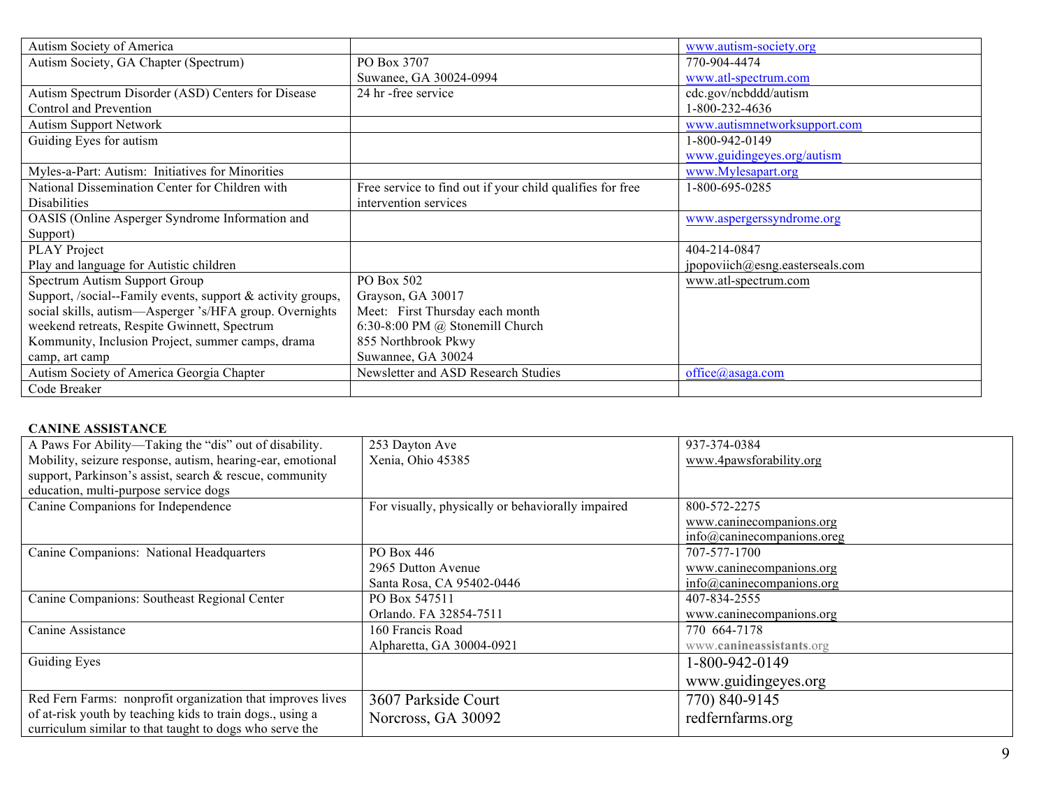| Autism Society of America                                   |                                                           | www.autism-society.org          |
|-------------------------------------------------------------|-----------------------------------------------------------|---------------------------------|
| Autism Society, GA Chapter (Spectrum)                       | PO Box 3707                                               | 770-904-4474                    |
|                                                             | Suwanee, GA 30024-0994                                    | www.atl-spectrum.com            |
| Autism Spectrum Disorder (ASD) Centers for Disease          | 24 hr-free service                                        | cdc.gov/ncbddd/autism           |
| <b>Control and Prevention</b>                               |                                                           | 1-800-232-4636                  |
| <b>Autism Support Network</b>                               |                                                           | www.autismnetworksupport.com    |
| Guiding Eyes for autism                                     |                                                           | 1-800-942-0149                  |
|                                                             |                                                           | www.guidingeyes.org/autism      |
| Myles-a-Part: Autism: Initiatives for Minorities            |                                                           | www.Mylesapart.org              |
| National Dissemination Center for Children with             | Free service to find out if your child qualifies for free | 1-800-695-0285                  |
| <b>Disabilities</b>                                         | intervention services                                     |                                 |
| OASIS (Online Asperger Syndrome Information and             |                                                           | www.aspergerssyndrome.org       |
| Support)                                                    |                                                           |                                 |
| <b>PLAY Project</b>                                         |                                                           | 404-214-0847                    |
| Play and language for Autistic children                     |                                                           | jpopoviich@esng.easterseals.com |
| Spectrum Autism Support Group                               | PO Box 502                                                | www.atl-spectrum.com            |
| Support, /social--Family events, support & activity groups, | Grayson, GA 30017                                         |                                 |
| social skills, autism-Asperger 's/HFA group. Overnights     | Meet: First Thursday each month                           |                                 |
| weekend retreats, Respite Gwinnett, Spectrum                | 6:30-8:00 PM @ Stonemill Church                           |                                 |
| Kommunity, Inclusion Project, summer camps, drama           | 855 Northbrook Pkwy                                       |                                 |
| camp, art camp                                              | Suwannee, GA 30024                                        |                                 |
| Autism Society of America Georgia Chapter                   | Newsletter and ASD Research Studies                       | office@asaga.com                |
| Code Breaker                                                |                                                           |                                 |

## **CANINE ASSISTANCE**

| A Paws For Ability—Taking the "dis" out of disability.                                                               | 253 Dayton Ave                                    | 937-374-0384               |
|----------------------------------------------------------------------------------------------------------------------|---------------------------------------------------|----------------------------|
| Mobility, seizure response, autism, hearing-ear, emotional                                                           | Xenia, Ohio 45385                                 | www.4pawsforability.org    |
| support, Parkinson's assist, search & rescue, community                                                              |                                                   |                            |
| education, multi-purpose service dogs                                                                                |                                                   |                            |
| Canine Companions for Independence                                                                                   | For visually, physically or behaviorally impaired | 800-572-2275               |
|                                                                                                                      |                                                   | www.caninecompanions.org   |
|                                                                                                                      |                                                   | info@caninecompanions.oreg |
| Canine Companions: National Headquarters                                                                             | PO Box 446                                        | 707-577-1700               |
|                                                                                                                      | 2965 Dutton Avenue                                | www.caninecompanions.org   |
|                                                                                                                      | Santa Rosa, CA 95402-0446                         | info@canine companions.org |
| Canine Companions: Southeast Regional Center                                                                         | PO Box 547511                                     | 407-834-2555               |
|                                                                                                                      | Orlando. FA 32854-7511                            | www.caninecompanions.org   |
| Canine Assistance                                                                                                    | 160 Francis Road                                  | 770 664-7178               |
|                                                                                                                      | Alpharetta, GA 30004-0921                         | www.canineassistants.org   |
| Guiding Eyes                                                                                                         |                                                   | 1-800-942-0149             |
|                                                                                                                      |                                                   | www.guidingeyes.org        |
| Red Fern Farms: nonprofit organization that improves lives                                                           | 3607 Parkside Court                               | 770) 840-9145              |
| of at-risk youth by teaching kids to train dogs., using a<br>curriculum similar to that taught to dogs who serve the | Norcross, GA 30092                                | redfernfarms.org           |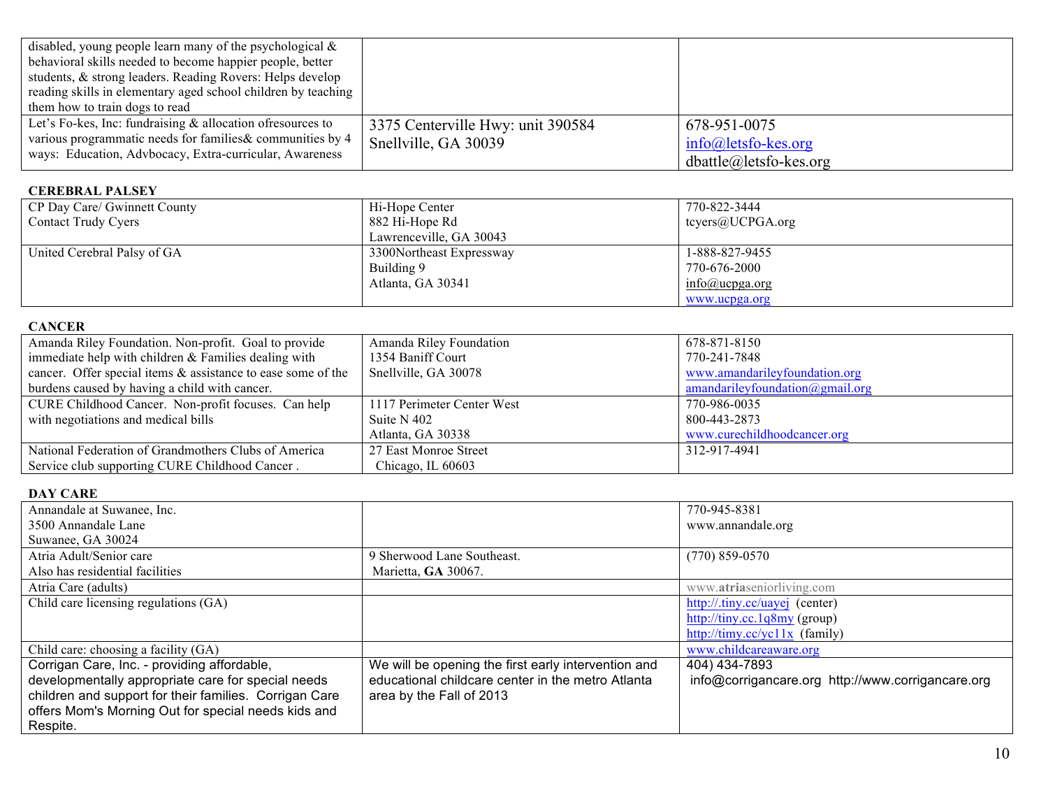| disabled, young people learn many of the psychological $\&$    |                                   |                                 |
|----------------------------------------------------------------|-----------------------------------|---------------------------------|
| behavioral skills needed to become happier people, better      |                                   |                                 |
| students, & strong leaders. Reading Rovers: Helps develop      |                                   |                                 |
| reading skills in elementary aged school children by teaching  |                                   |                                 |
| them how to train dogs to read                                 |                                   |                                 |
| Let's Fo-kes, Inc: fundraising $\&$ allocation of resources to | 3375 Centerville Hwy: unit 390584 | 678-951-0075                    |
| various programmatic needs for families & communities by 4     | Snellville, GA 30039              | $info@$ lets fo-kes.org         |
| ways: Education, Advbocacy, Extra-curricular, Awareness        |                                   | $\theta$ dbattle@letsfo-kes.org |

## **CEREBRAL PALSEY**

| CP Day Care/ Gwinnett County<br><b>Contact Trudy Cyers</b> | Hi-Hope Center<br>882 Hi-Hope Rd<br>Lawrenceville, GA 30043 | 770-822-3444<br>tevers@UCPGA.org                                             |
|------------------------------------------------------------|-------------------------------------------------------------|------------------------------------------------------------------------------|
| United Cerebral Palsy of GA                                | 3300Northeast Expressway<br>Building 9<br>Atlanta, GA 30341 | 1-888-827-9455<br>770-676-2000<br>$info(\hat{a})$ ucpga.org<br>www.ucpga.org |

# **CANCER**

| Amanda Riley Foundation. Non-profit. Goal to provide            | Amanda Riley Foundation    | 678-871-8150                                 |
|-----------------------------------------------------------------|----------------------------|----------------------------------------------|
| immediate help with children $&$ Families dealing with          | 1354 Baniff Court          | 770-241-7848                                 |
| cancer. Offer special items $\&$ assistance to ease some of the | Snellville, GA 30078       | www.amandarileyfoundation.org                |
| burdens caused by having a child with cancer.                   |                            | $amandariley foundation(\partial gmail.org)$ |
| CURE Childhood Cancer. Non-profit focuses. Can help             | 1117 Perimeter Center West | 770-986-0035                                 |
| with negotiations and medical bills                             | Suite N 402                | 800-443-2873                                 |
|                                                                 | Atlanta, GA 30338          | www.curechildhoodcancer.org                  |
| National Federation of Grandmothers Clubs of America            | 27 East Monroe Street      | 312-917-4941                                 |
| Service club supporting CURE Childhood Cancer.                  | Chicago, IL 60603          |                                              |

# **DAY CARE**

| Annandale at Suwanee, Inc.                             |                                                     | 770-945-8381                                      |
|--------------------------------------------------------|-----------------------------------------------------|---------------------------------------------------|
| 3500 Annandale Lane                                    |                                                     | www.annandale.org                                 |
| Suwanee, GA 30024                                      |                                                     |                                                   |
| Atria Adult/Senior care                                | 9 Sherwood Lane Southeast.                          | $(770)$ 859-0570                                  |
| Also has residential facilities                        | Marietta, GA 30067.                                 |                                                   |
| Atria Care (adults)                                    |                                                     | www.atriaseniorliving.com                         |
| Child care licensing regulations (GA)                  |                                                     | http://.tiny.cc/uayej (center)                    |
|                                                        |                                                     | http://tiny.cc.1q8my (group)                      |
|                                                        |                                                     | http://timy.cc/yc11x (family)                     |
| Child care: choosing a facility (GA)                   |                                                     | www.childcareaware.org                            |
| Corrigan Care, Inc. - providing affordable,            | We will be opening the first early intervention and | 404) 434-7893                                     |
| developmentally appropriate care for special needs     | educational childcare center in the metro Atlanta   | info@corrigancare.org http://www.corrigancare.org |
| children and support for their families. Corrigan Care | area by the Fall of 2013                            |                                                   |
| offers Mom's Morning Out for special needs kids and    |                                                     |                                                   |
| Respite.                                               |                                                     |                                                   |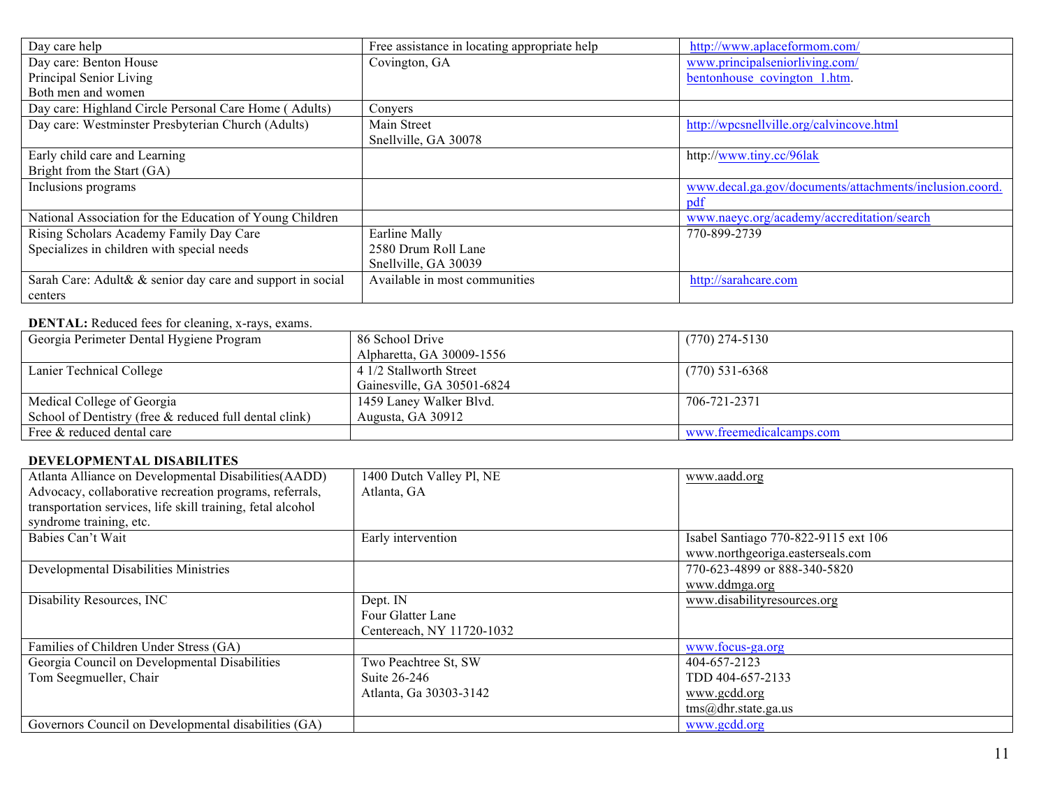| Day care help                                              | Free assistance in locating appropriate help | http://www.aplaceformom.com/                            |
|------------------------------------------------------------|----------------------------------------------|---------------------------------------------------------|
| Day care: Benton House                                     | Covington, GA                                | www.principalseniorliving.com/                          |
| Principal Senior Living                                    |                                              | bentonhouse covington 1.htm.                            |
| Both men and women                                         |                                              |                                                         |
| Day care: Highland Circle Personal Care Home (Adults)      | Convers                                      |                                                         |
| Day care: Westminster Presbyterian Church (Adults)         | Main Street                                  | http://wpcsnellville.org/calvincove.html                |
|                                                            | Snellville, GA 30078                         |                                                         |
| Early child care and Learning                              |                                              | http://www.tiny.cc/96lak                                |
| Bright from the Start (GA)                                 |                                              |                                                         |
| Inclusions programs                                        |                                              | www.decal.ga.gov/documents/attachments/inclusion.coord. |
|                                                            |                                              | pd1                                                     |
| National Association for the Education of Young Children   |                                              | www.naeyc.org/academy/accreditation/search              |
| Rising Scholars Academy Family Day Care                    | Earline Mally                                | 770-899-2739                                            |
| Specializes in children with special needs                 | 2580 Drum Roll Lane                          |                                                         |
|                                                            | Snellville, GA 30039                         |                                                         |
| Sarah Care: Adult& & senior day care and support in social | Available in most communities                | http://sarahcare.com                                    |
| centers                                                    |                                              |                                                         |

## **DENTAL:** Reduced fees for cleaning, x-rays, exams.

| $\cdots$                                               |                            |                          |
|--------------------------------------------------------|----------------------------|--------------------------|
| Georgia Perimeter Dental Hygiene Program               | 86 School Drive            | $(770)$ 274-5130         |
|                                                        | Alpharetta, GA 30009-1556  |                          |
| Lanier Technical College                               | 4 1/2 Stallworth Street    | $(770)$ 531-6368         |
|                                                        | Gainesville, GA 30501-6824 |                          |
| Medical College of Georgia                             | 1459 Laney Walker Blvd.    | 706-721-2371             |
| School of Dentistry (free & reduced full dental clink) | Augusta, GA 30912          |                          |
| Free & reduced dental care                             |                            | www.freemedicalcamps.com |

# **DEVELOPMENTAL DISABILITES**

| Atlanta Alliance on Developmental Disabilities (AADD)<br>Advocacy, collaborative recreation programs, referrals,<br>transportation services, life skill training, fetal alcohol<br>syndrome training, etc. | 1400 Dutch Valley Pl, NE<br>Atlanta, GA                        | www.aadd.org                                                                        |
|------------------------------------------------------------------------------------------------------------------------------------------------------------------------------------------------------------|----------------------------------------------------------------|-------------------------------------------------------------------------------------|
| Babies Can't Wait                                                                                                                                                                                          | Early intervention                                             | Isabel Santiago 770-822-9115 ext 106<br>www.northgeoriga.easterseals.com            |
| Developmental Disabilities Ministries                                                                                                                                                                      |                                                                | 770-623-4899 or 888-340-5820<br>www.ddmga.org                                       |
| Disability Resources, INC                                                                                                                                                                                  | Dept. IN<br>Four Glatter Lane<br>Centereach, NY 11720-1032     | www.disabilityresources.org                                                         |
| Families of Children Under Stress (GA)                                                                                                                                                                     |                                                                | www.focus-ga.org                                                                    |
| Georgia Council on Developmental Disabilities<br>Tom Seegmueller, Chair                                                                                                                                    | Two Peachtree St, SW<br>Suite 26-246<br>Atlanta, Ga 30303-3142 | 404-657-2123<br>TDD 404-657-2133<br>www.gcdd.org<br>$\text{rms}(a)$ dhr.state.ga.us |
| Governors Council on Developmental disabilities (GA)                                                                                                                                                       |                                                                | www.gcdd.org                                                                        |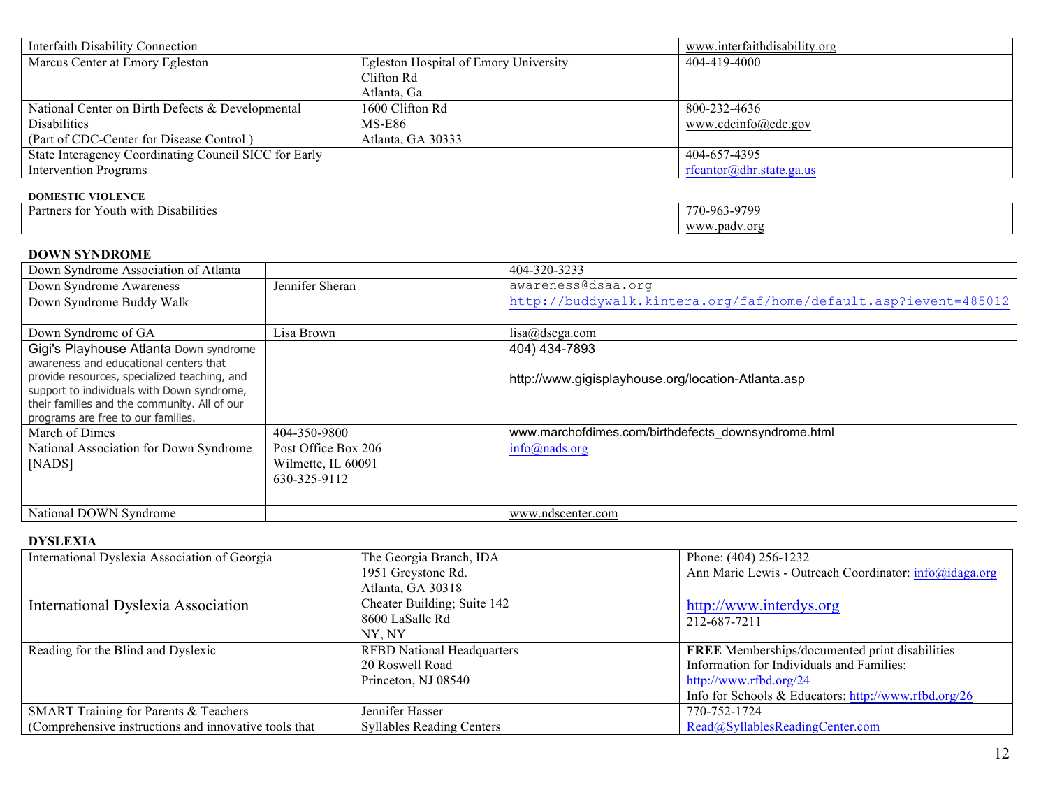| Interfaith Disability Connection                      |                                              | www.interfaithdisability.org |
|-------------------------------------------------------|----------------------------------------------|------------------------------|
| Marcus Center at Emory Egleston                       | <b>Egleston Hospital of Emory University</b> | 404-419-4000                 |
|                                                       | Clifton Rd                                   |                              |
|                                                       | Atlanta, Ga                                  |                              |
| National Center on Birth Defects & Developmental      | 1600 Clifton Rd                              | 800-232-4636                 |
| <b>Disabilities</b>                                   | MS-E86                                       | www.cdcinfo@cdc.gov          |
| (Part of CDC-Center for Disease Control)              | Atlanta, GA 30333                            |                              |
| State Interagency Coordinating Council SICC for Early |                                              | 404-657-4395                 |
| Intervention Programs                                 |                                              | rfcantor@dhr.state.ga.us     |

#### **DOMESTIC VIOLENCE**

| $\cdots$<br>$\sim$<br><b>Partners</b><br>with Disabilities v<br>' outh<br>ers for | 0700<br>770<br>'70-96: |
|-----------------------------------------------------------------------------------|------------------------|
|                                                                                   | WWW.<br>.padv.org      |

### **DOWN SYNDROME**

| Down Syndrome Association of Atlanta                                               |                     | 404-320-3233                                                    |
|------------------------------------------------------------------------------------|---------------------|-----------------------------------------------------------------|
| Down Syndrome Awareness                                                            | Jennifer Sheran     | awareness@dsaa.org                                              |
| Down Syndrome Buddy Walk                                                           |                     | http://buddywalk.kintera.org/faf/home/default.asp?ievent=485012 |
|                                                                                    |                     |                                                                 |
| Down Syndrome of GA                                                                | Lisa Brown          | lisa@dscga.com                                                  |
| Gigi's Playhouse Atlanta Down syndrome                                             |                     | 404) 434-7893                                                   |
| awareness and educational centers that                                             |                     |                                                                 |
| provide resources, specialized teaching, and                                       |                     | http://www.gigisplayhouse.org/location-Atlanta.asp              |
| support to individuals with Down syndrome,                                         |                     |                                                                 |
| their families and the community. All of our<br>programs are free to our families. |                     |                                                                 |
| March of Dimes                                                                     | 404-350-9800        | www.marchofdimes.com/birthdefects downsyndrome.html             |
| National Association for Down Syndrome                                             | Post Office Box 206 | $info(a)$ nads.org                                              |
| [NADS]                                                                             | Wilmette, IL 60091  |                                                                 |
|                                                                                    | 630-325-9112        |                                                                 |
|                                                                                    |                     |                                                                 |
| National DOWN Syndrome                                                             |                     | www.ndscenter.com                                               |

## **DYSLEXIA**

| International Dyslexia Association of Georgia          | The Georgia Branch, IDA           | Phone: (404) 256-1232                                  |
|--------------------------------------------------------|-----------------------------------|--------------------------------------------------------|
|                                                        | 1951 Greystone Rd.                | Ann Marie Lewis - Outreach Coordinator: info@idaga.org |
|                                                        | Atlanta, GA 30318                 |                                                        |
| International Dyslexia Association                     | Cheater Building; Suite 142       | http://www.interdys.org                                |
|                                                        | 8600 LaSalle Rd                   | 212-687-7211                                           |
|                                                        | NY. NY                            |                                                        |
| Reading for the Blind and Dyslexic                     | <b>RFBD</b> National Headquarters | <b>FREE</b> Memberships/documented print disabilities  |
|                                                        | 20 Roswell Road                   | Information for Individuals and Families:              |
|                                                        | Princeton, NJ 08540               | http://www.rfbd.org/24                                 |
|                                                        |                                   | Info for Schools & Educators: http://www.rfbd.org/26   |
| SMART Training for Parents & Teachers                  | Jennifer Hasser                   | 770-752-1724                                           |
| (Comprehensive instructions and innovative tools that) | <b>Syllables Reading Centers</b>  | Read@SyllablesReadingCenter.com                        |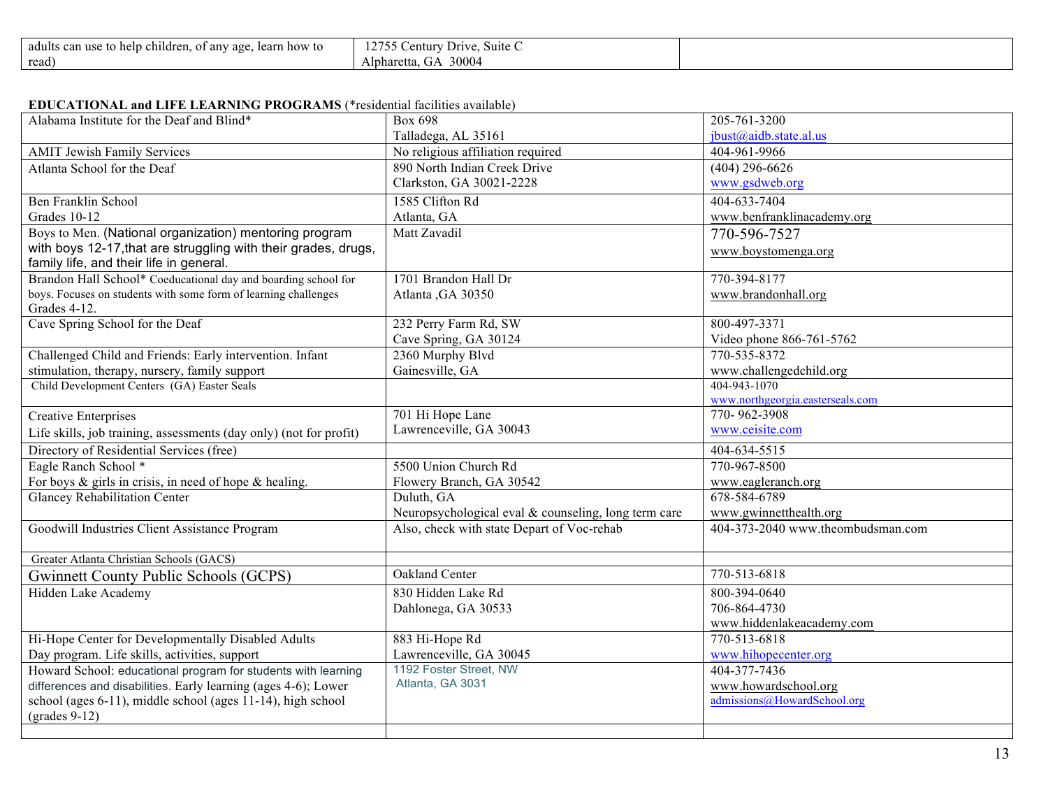| $\cdot$ .<br>children.<br>learn how to<br>adults<br>can use to help<br>. anv<br>age.<br>01 | $\sim$<br>$\sim$<br>Drive<br>Suite C<br>entury<br>14 I J |  |
|--------------------------------------------------------------------------------------------|----------------------------------------------------------|--|
| read)                                                                                      | 30004<br>Alpharetta.<br>$\mathbf{U}$                     |  |

#### **EDUCATIONAL and LIFE LEARNING PROGRAMS** (\*residential facilities available)

| Alabama Institute for the Deaf and Blind*                                             | <b>Box 698</b>                                       | 205-761-3200                      |
|---------------------------------------------------------------------------------------|------------------------------------------------------|-----------------------------------|
|                                                                                       | Talladega, AL 35161                                  | jbust@aidb.state.al.us            |
| <b>AMIT Jewish Family Services</b>                                                    | No religious affiliation required                    | 404-961-9966                      |
| Atlanta School for the Deaf                                                           | 890 North Indian Creek Drive                         | $(404)$ 296-6626                  |
|                                                                                       | Clarkston, GA 30021-2228                             | www.gsdweb.org                    |
| <b>Ben Franklin School</b>                                                            | 1585 Clifton Rd                                      | 404-633-7404                      |
| Grades 10-12                                                                          | Atlanta, GA                                          | www.benfranklinacademy.org        |
| Boys to Men. (National organization) mentoring program                                | Matt Zavadil                                         | 770-596-7527                      |
| with boys 12-17, that are struggling with their grades, drugs,                        |                                                      | www.boystomenga.org               |
| family life, and their life in general.                                               |                                                      |                                   |
| Brandon Hall School* Coeducational day and boarding school for                        | 1701 Brandon Hall Dr                                 | 770-394-8177                      |
| boys. Focuses on students with some form of learning challenges                       | Atlanta , GA 30350                                   | www.brandonhall.org               |
| Grades 4-12.                                                                          |                                                      |                                   |
| Cave Spring School for the Deaf                                                       | 232 Perry Farm Rd, SW                                | 800-497-3371                      |
|                                                                                       | Cave Spring, GA 30124                                | Video phone 866-761-5762          |
| Challenged Child and Friends: Early intervention. Infant                              | 2360 Murphy Blvd                                     | 770-535-8372                      |
| stimulation, therapy, nursery, family support                                         | Gainesville, GA                                      | www.challengedchild.org           |
| Child Development Centers (GA) Easter Seals                                           |                                                      | 404-943-1070                      |
|                                                                                       |                                                      | www.northgeorgia.easterseals.com  |
| <b>Creative Enterprises</b>                                                           | 701 Hi Hope Lane                                     | 770-962-3908                      |
| Life skills, job training, assessments (day only) (not for profit)                    | Lawrenceville, GA 30043                              | www.ceisite.com                   |
| Directory of Residential Services (free)                                              |                                                      | 404-634-5515                      |
| Eagle Ranch School *                                                                  | 5500 Union Church Rd                                 | 770-967-8500                      |
| For boys $\&$ girls in crisis, in need of hope $\&$ healing.                          | Flowery Branch, GA 30542                             | www.eagleranch.org                |
| <b>Glancey Rehabilitation Center</b>                                                  | Duluth, GA                                           | 678-584-6789                      |
|                                                                                       | Neuropsychological eval & counseling, long term care | www.gwinnetthealth.org            |
| Goodwill Industries Client Assistance Program                                         | Also, check with state Depart of Voc-rehab           | 404-373-2040 www.theombudsman.com |
| Greater Atlanta Christian Schools (GACS)                                              |                                                      |                                   |
| <b>Gwinnett County Public Schools (GCPS)</b>                                          | Oakland Center                                       | 770-513-6818                      |
| Hidden Lake Academy                                                                   | 830 Hidden Lake Rd                                   | 800-394-0640                      |
|                                                                                       | Dahlonega, GA 30533                                  | 706-864-4730                      |
|                                                                                       |                                                      | www.hiddenlakeacademy.com         |
| Hi-Hope Center for Developmentally Disabled Adults                                    | 883 Hi-Hope Rd                                       | 770-513-6818                      |
| Day program. Life skills, activities, support                                         | Lawrenceville, GA 30045                              | www.hihopecenter.org              |
| Howard School: educational program for students with learning                         | 1192 Foster Street, NW                               | 404-377-7436                      |
| differences and disabilities. Early learning (ages 4-6); Lower                        | Atlanta, GA 3031                                     | www.howardschool.org              |
| school (ages 6-11), middle school (ages 11-14), high school<br>$\text{(grades 9-12)}$ |                                                      | admissions@HowardSchool.org       |
|                                                                                       |                                                      |                                   |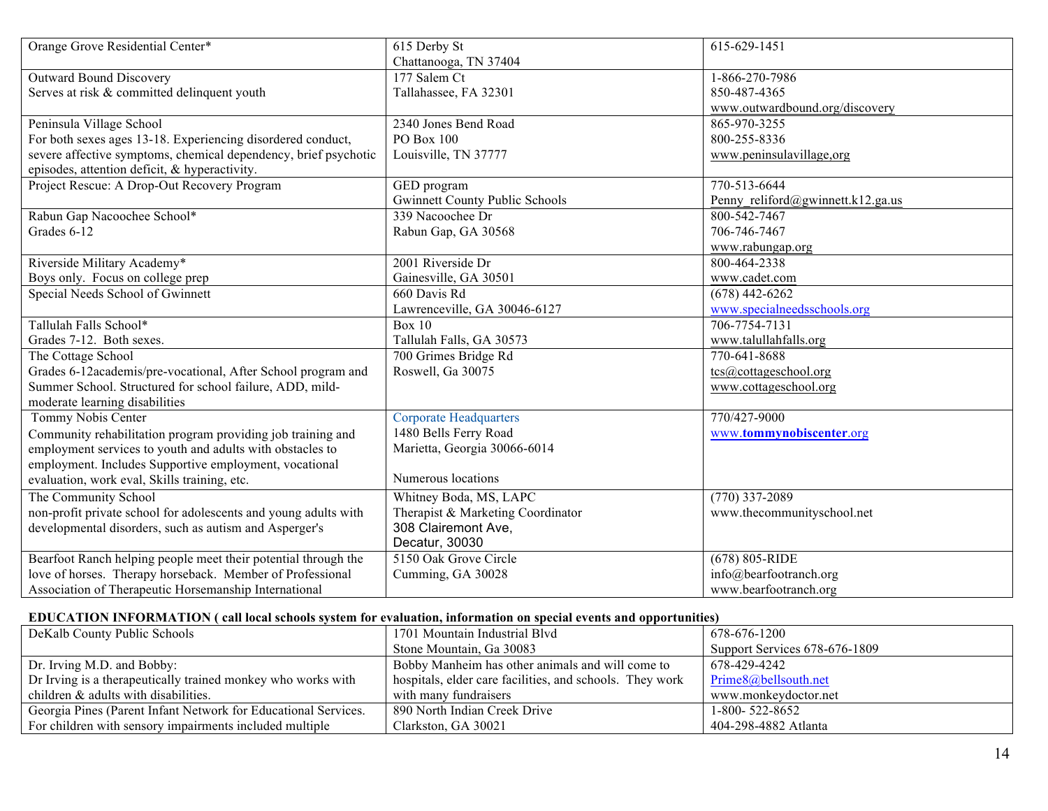| Orange Grove Residential Center*                                | 615 Derby St                          | 615-629-1451                      |
|-----------------------------------------------------------------|---------------------------------------|-----------------------------------|
|                                                                 | Chattanooga, TN 37404                 |                                   |
| Outward Bound Discovery                                         | 177 Salem Ct                          | 1-866-270-7986                    |
| Serves at risk & committed delinquent youth                     | Tallahassee, FA 32301                 | 850-487-4365                      |
|                                                                 |                                       | www.outwardbound.org/discovery    |
| Peninsula Village School                                        | 2340 Jones Bend Road                  | 865-970-3255                      |
| For both sexes ages 13-18. Experiencing disordered conduct,     | PO Box 100                            | 800-255-8336                      |
| severe affective symptoms, chemical dependency, brief psychotic | Louisville, TN 37777                  | www.peninsulavillage.org          |
| episodes, attention deficit, & hyperactivity.                   |                                       |                                   |
| Project Rescue: A Drop-Out Recovery Program                     | GED program                           | 770-513-6644                      |
|                                                                 | <b>Gwinnett County Public Schools</b> | Penny reliford@gwinnett.k12.ga.us |
| Rabun Gap Nacoochee School*                                     | 339 Nacoochee Dr                      | 800-542-7467                      |
| Grades 6-12                                                     | Rabun Gap, GA 30568                   | 706-746-7467                      |
|                                                                 |                                       | www.rabungap.org                  |
| Riverside Military Academy*                                     | 2001 Riverside Dr                     | 800-464-2338                      |
| Boys only. Focus on college prep                                | Gainesville, GA 30501                 | www.cadet.com                     |
| Special Needs School of Gwinnett                                | 660 Davis Rd                          | $(678)$ 442-6262                  |
|                                                                 | Lawrenceville, GA 30046-6127          | www.specialneedsschools.org       |
| Tallulah Falls School*                                          | <b>Box 10</b>                         | 706-7754-7131                     |
| Grades 7-12. Both sexes.                                        | Tallulah Falls, GA 30573              | www.talullahfalls.org             |
| The Cottage School                                              | 700 Grimes Bridge Rd                  | 770-641-8688                      |
| Grades 6-12academis/pre-vocational, After School program and    | Roswell, Ga 30075                     | tcs@cottageschool.org             |
| Summer School. Structured for school failure, ADD, mild-        |                                       | www.cottageschool.org             |
| moderate learning disabilities                                  |                                       |                                   |
| Tommy Nobis Center                                              | <b>Corporate Headquarters</b>         | 770/427-9000                      |
| Community rehabilitation program providing job training and     | 1480 Bells Ferry Road                 | www.tommynobiscenter.org          |
| employment services to youth and adults with obstacles to       | Marietta, Georgia 30066-6014          |                                   |
| employment. Includes Supportive employment, vocational          |                                       |                                   |
| evaluation, work eval, Skills training, etc.                    | Numerous locations                    |                                   |
| The Community School                                            | Whitney Boda, MS, LAPC                | $(770)$ 337-2089                  |
| non-profit private school for adolescents and young adults with | Therapist & Marketing Coordinator     | www.thecommunityschool.net        |
| developmental disorders, such as autism and Asperger's          | 308 Clairemont Ave.                   |                                   |
|                                                                 | Decatur, 30030                        |                                   |
| Bearfoot Ranch helping people meet their potential through the  | 5150 Oak Grove Circle                 | $(678) 805 - RIDE$                |
| love of horses. Therapy horseback. Member of Professional       | Cumming, GA 30028                     | info@bearfootranch.org            |
| Association of Therapeutic Horsemanship International           |                                       | www.bearfootranch.org             |

# **EDUCATION INFORMATION ( call local schools system for evaluation, information on special events and opportunities)**

| DeKalb County Public Schools                                   | 1701 Mountain Industrial Blyd                            | 678-676-1200                  |
|----------------------------------------------------------------|----------------------------------------------------------|-------------------------------|
|                                                                | Stone Mountain, Ga 30083                                 | Support Services 678-676-1809 |
| Dr. Irving M.D. and Bobby:                                     | Bobby Manheim has other animals and will come to         | 678-429-4242                  |
| Dr Irving is a therapeutically trained monkey who works with   | hospitals, elder care facilities, and schools. They work | Prime8@bellsouth.net          |
| children $\&$ adults with disabilities.                        | with many fundraisers                                    | www.monkeydoctor.net          |
| Georgia Pines (Parent Infant Network for Educational Services. | 890 North Indian Creek Drive                             | 1-800-522-8652                |
| For children with sensory impairments included multiple        | Clarkston, GA 30021                                      | 404-298-4882 Atlanta          |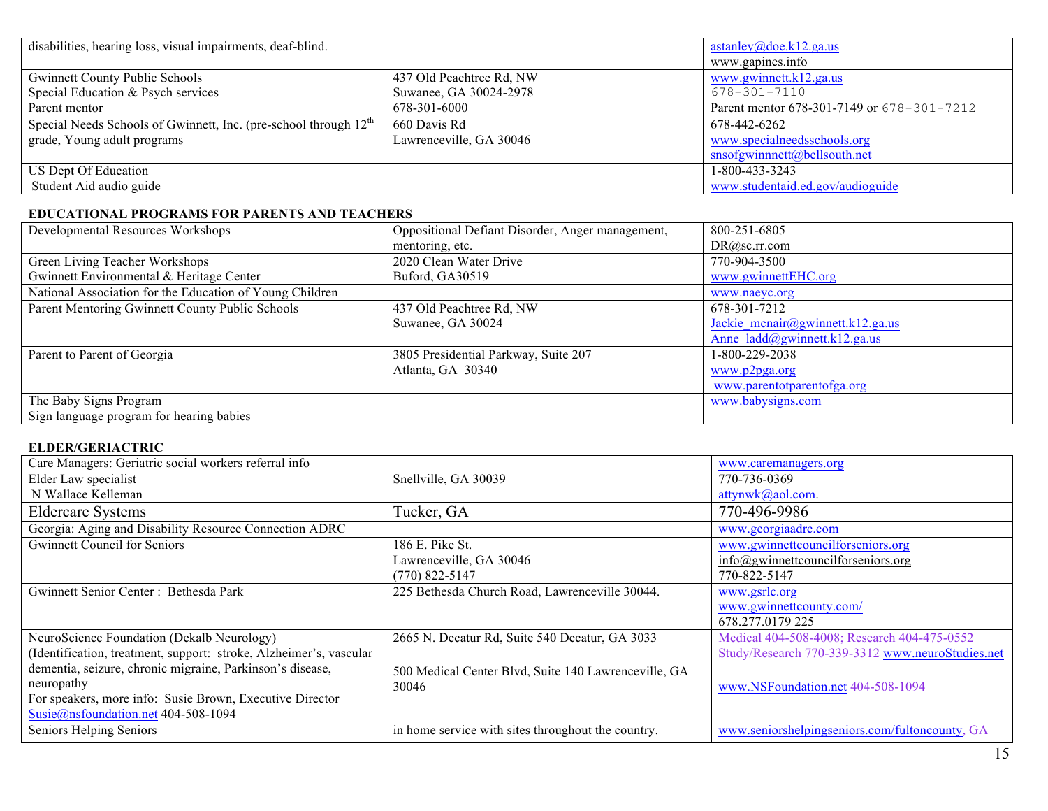| disabilities, hearing loss, visual impairments, deaf-blind.                  |                          | astanley@doe.k12.ga.us                     |
|------------------------------------------------------------------------------|--------------------------|--------------------------------------------|
|                                                                              |                          | www.gapines.info                           |
| <b>Gwinnett County Public Schools</b>                                        | 437 Old Peachtree Rd, NW | www.gwinnett.k12.ga.us                     |
| Special Education & Psych services                                           | Suwanee, GA 30024-2978   | 678-301-7110                               |
| Parent mentor                                                                | 678-301-6000             | Parent mentor 678-301-7149 or 678-301-7212 |
| Special Needs Schools of Gwinnett, Inc. (pre-school through 12 <sup>th</sup> | 660 Davis Rd             | 678-442-6262                               |
| grade, Young adult programs                                                  | Lawrenceville, GA 30046  | www.specialneedsschools.org                |
|                                                                              |                          | $s$ nsofgwinnnett@bellsouth.net            |
| US Dept Of Education                                                         |                          | 1-800-433-3243                             |
| Student Aid audio guide                                                      |                          | www.studentaid.ed.gov/audioguide           |

#### **EDUCATIONAL PROGRAMS FOR PARENTS AND TEACHERS**

| Developmental Resources Workshops                        | Oppositional Defiant Disorder, Anger management, | 800-251-6805                             |
|----------------------------------------------------------|--------------------------------------------------|------------------------------------------|
|                                                          | mentoring, etc.                                  | DR@sc.rr.com                             |
| Green Living Teacher Workshops                           | 2020 Clean Water Drive                           | 770-904-3500                             |
| Gwinnett Environmental & Heritage Center                 | Buford, GA30519                                  | www.gwinnettEHC.org                      |
| National Association for the Education of Young Children |                                                  | www.naeyc.org                            |
| Parent Mentoring Gwinnett County Public Schools          | 437 Old Peachtree Rd, NW                         | 678-301-7212                             |
|                                                          | Suwanee, GA 30024                                | Jackie mcnair@gwinnett.k12.ga.us         |
|                                                          |                                                  | Anne $ladd(\partial g$ winnett.k12.ga.us |
| Parent to Parent of Georgia                              | 3805 Presidential Parkway, Suite 207             | 1-800-229-2038                           |
|                                                          | Atlanta, GA 30340                                | www.p2pga.org                            |
|                                                          |                                                  | www.parentotparentofga.org               |
| The Baby Signs Program                                   |                                                  | www.babysigns.com                        |
| Sign language program for hearing babies                 |                                                  |                                          |

# **ELDER/GERIACTRIC**

| Care Managers: Geriatric social workers referral info              |                                                      | www.caremanagers.org                             |
|--------------------------------------------------------------------|------------------------------------------------------|--------------------------------------------------|
| Elder Law specialist                                               | Snellville, GA 30039                                 | 770-736-0369                                     |
| N Wallace Kelleman                                                 |                                                      | attynwk@aol.com.                                 |
| <b>Eldercare Systems</b>                                           | Tucker, GA                                           | 770-496-9986                                     |
| Georgia: Aging and Disability Resource Connection ADRC             |                                                      | www.georgiaadrc.com                              |
| <b>Gwinnett Council for Seniors</b>                                | 186 E. Pike St.                                      | www.gwinnettcouncilforseniors.org                |
|                                                                    | Lawrenceville, GA 30046                              | info@gwinnettcouncilforseniors.org               |
|                                                                    | $(770)$ 822-5147                                     | 770-822-5147                                     |
| Gwinnett Senior Center: Bethesda Park                              | 225 Bethesda Church Road, Lawrenceville 30044.       | www.gsrlc.org                                    |
|                                                                    |                                                      | www.gwinnettcounty.com/                          |
|                                                                    |                                                      | 678.277.0179 225                                 |
| NeuroScience Foundation (Dekalb Neurology)                         | 2665 N. Decatur Rd, Suite 540 Decatur, GA 3033       | Medical 404-508-4008; Research 404-475-0552      |
| (Identification, treatment, support: stroke, Alzheimer's, vascular |                                                      | Study/Research 770-339-3312 www.neuroStudies.net |
| dementia, seizure, chronic migraine, Parkinson's disease,          | 500 Medical Center Blvd, Suite 140 Lawrenceville, GA |                                                  |
| neuropathy                                                         | 30046                                                | www.NSFoundation.net 404-508-1094                |
| For speakers, more info: Susie Brown, Executive Director           |                                                      |                                                  |
| Susie@nsfoundation.net 404-508-1094                                |                                                      |                                                  |
| Seniors Helping Seniors                                            | in home service with sites throughout the country.   | www.seniorshelpingseniors.com/fultoncounty, GA   |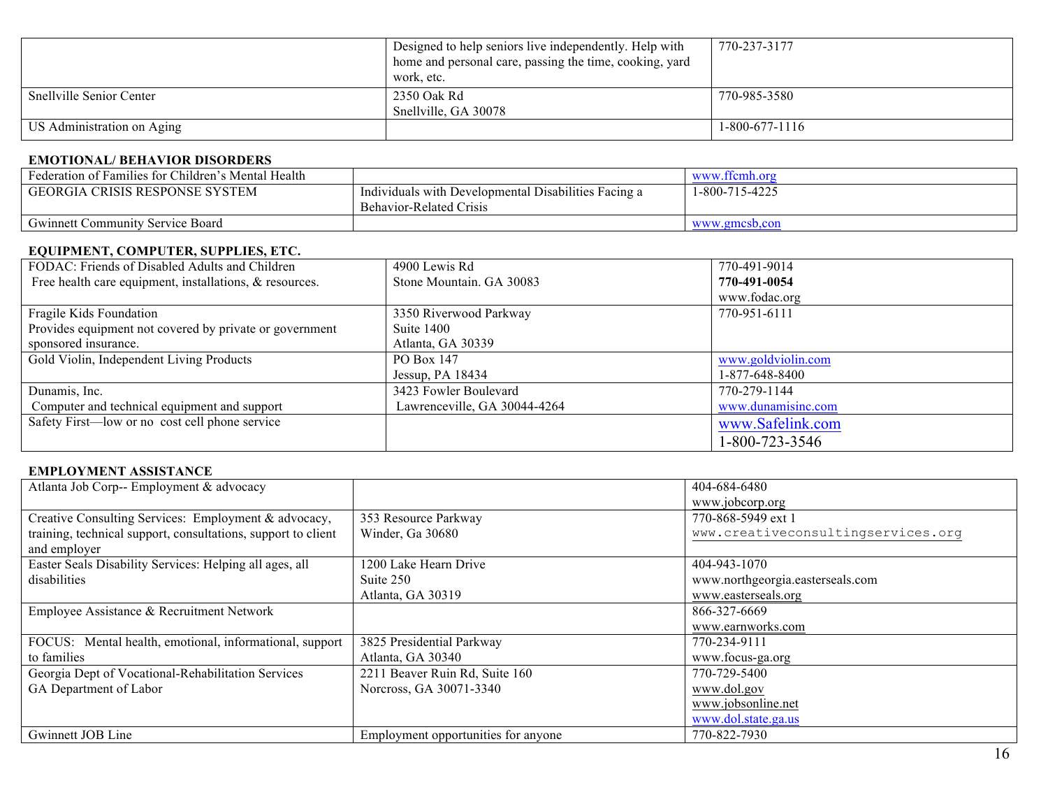|                                 | Designed to help seniors live independently. Help with<br>home and personal care, passing the time, cooking, yard<br>work, etc. | 770-237-3177     |
|---------------------------------|---------------------------------------------------------------------------------------------------------------------------------|------------------|
| <b>Snellville Senior Center</b> | 2350 Oak Rd<br>Snellville, GA 30078                                                                                             | 770-985-3580     |
| US Administration on Aging      |                                                                                                                                 | $1-800-677-1116$ |

#### **EMOTIONAL/ BEHAVIOR DISORDERS**

| Federation of Families for Children's Mental Health |                                                      | www.ffcmh.org  |
|-----------------------------------------------------|------------------------------------------------------|----------------|
| I GEORGIA CRISIS RESPONSE SYSTEM                    | Individuals with Developmental Disabilities Facing a | 1-800-715-4225 |
|                                                     | Behavior-Related Crisis                              |                |
| <b>Gwinnett Community Service Board</b>             |                                                      | www.gmcsb.con  |

#### **EQUIPMENT, COMPUTER, SUPPLIES, ETC.**

| FODAC: Friends of Disabled Adults and Children          | 4900 Lewis Rd                | 770-491-9014       |
|---------------------------------------------------------|------------------------------|--------------------|
| Free health care equipment, installations, & resources. | Stone Mountain. GA 30083     | 770-491-0054       |
|                                                         |                              | www.fodac.org      |
| Fragile Kids Foundation                                 | 3350 Riverwood Parkway       | 770-951-6111       |
| Provides equipment not covered by private or government | Suite 1400                   |                    |
| sponsored insurance.                                    | Atlanta, GA 30339            |                    |
| Gold Violin, Independent Living Products                | PO Box 147                   | www.goldviolin.com |
|                                                         | Jessup, PA $18434$           | 1-877-648-8400     |
| Dunamis, Inc.                                           | 3423 Fowler Boulevard        | 770-279-1144       |
| Computer and technical equipment and support            | Lawrenceville, GA 30044-4264 | www.dunamisinc.com |
| Safety First—low or no cost cell phone service          |                              | www.Safelink.com   |
|                                                         |                              | 1-800-723-3546     |

#### **EMPLOYMENT ASSISTANCE**

| Atlanta Job Corp-- Employment & advocacy                      |                                     | 404-684-6480                       |
|---------------------------------------------------------------|-------------------------------------|------------------------------------|
|                                                               |                                     | www.jobcorp.org                    |
| Creative Consulting Services: Employment & advocacy,          | 353 Resource Parkway                | 770-868-5949 ext 1                 |
| training, technical support, consultations, support to client | Winder, Ga 30680                    | www.creativeconsultingservices.org |
| and employer                                                  |                                     |                                    |
| Easter Seals Disability Services: Helping all ages, all       | 1200 Lake Hearn Drive               | 404-943-1070                       |
| disabilities                                                  | Suite 250                           | www.northgeorgia.easterseals.com   |
|                                                               | Atlanta, GA 30319                   | www.easterseals.org                |
| Employee Assistance & Recruitment Network                     |                                     | 866-327-6669                       |
|                                                               |                                     | www.earnworks.com                  |
| FOCUS: Mental health, emotional, informational, support       | 3825 Presidential Parkway           | 770-234-9111                       |
| to families                                                   | Atlanta, GA 30340                   | www.focus-ga.org                   |
| Georgia Dept of Vocational-Rehabilitation Services            | 2211 Beaver Ruin Rd, Suite 160      | 770-729-5400                       |
| GA Department of Labor                                        | Norcross, GA 30071-3340             | www.dol.gov                        |
|                                                               |                                     | www.jobsonline.net                 |
|                                                               |                                     | www.dol.state.ga.us                |
| Gwinnett JOB Line                                             | Employment opportunities for anyone | 770-822-7930                       |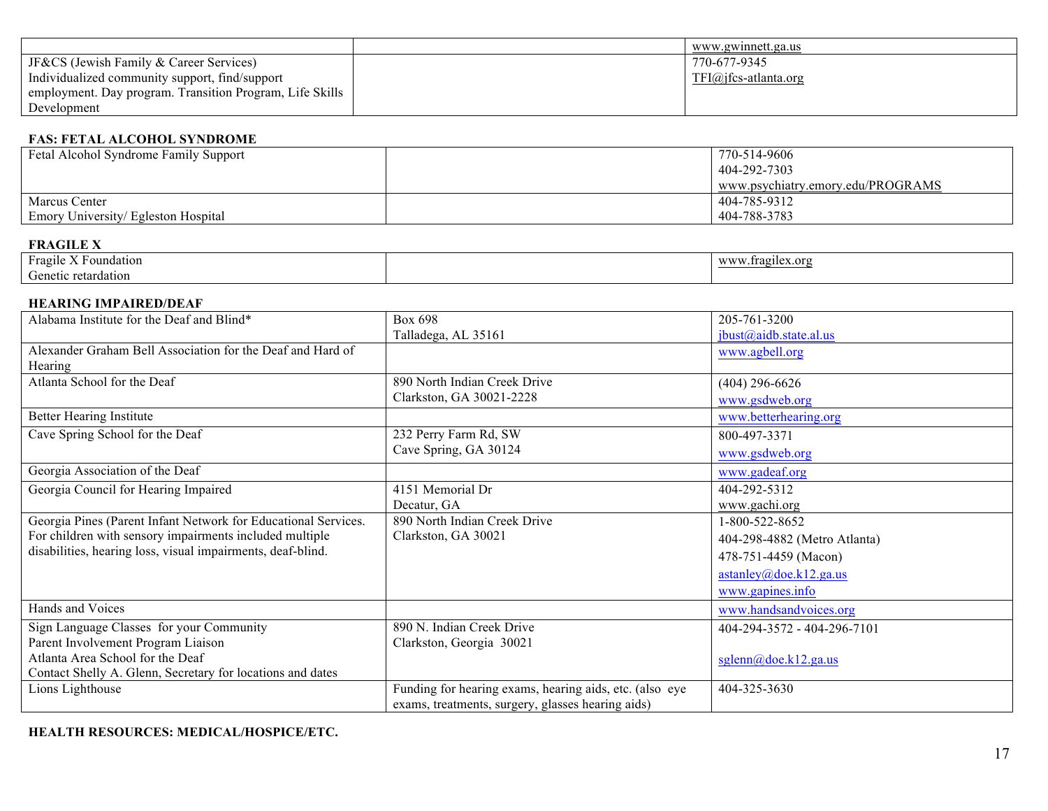|                                                          | www.gwinnett.ga.us     |
|----------------------------------------------------------|------------------------|
| <b>JF&amp;CS</b> (Jewish Family & Career Services)       | 770-677-9345           |
| Individualized community support, find/support           | $TFI@jfcs-atlanta.org$ |
| employment. Day program. Transition Program, Life Skills |                        |
| Development                                              |                        |

# **FAS: FETAL ALCOHOL SYNDROME**

| Fetal Alcohol Syndrome Family Support | 770-514-9606                      |
|---------------------------------------|-----------------------------------|
|                                       | 404-292-7303                      |
|                                       | www.psychiatry.emory.edu/PROGRAMS |
| <b>Marcus Center</b>                  | 404-785-9312                      |
| Emory University/ Egleston Hospital   | 404-788-3783                      |

# **FRAGILE X**

| $\sim$<br>$\mathbf{v}$ $\mathbf{r}$<br>Fragile<br>Foundation                                                                               | $\mathbf{X} \mathbf{X} \mathbf{X} \mathbf{X} \mathbf{X} \mathbf{X}$<br>tragues:<br>$\alpha$ ra<br>vv vv |
|--------------------------------------------------------------------------------------------------------------------------------------------|---------------------------------------------------------------------------------------------------------|
| $\sim$<br>e retardation<br>$\rightarrow$ $\rightarrow$ $\rightarrow$ $\rightarrow$ $\rightarrow$ $\rightarrow$ $\rightarrow$ $\rightarrow$ |                                                                                                         |

## **HEARING IMPAIRED/DEAF**

| Alabama Institute for the Deaf and Blind*                      | Box 698                                                 | 205-761-3200                 |
|----------------------------------------------------------------|---------------------------------------------------------|------------------------------|
|                                                                | Talladega, AL 35161                                     | ibust@aidb. state.al.us      |
| Alexander Graham Bell Association for the Deaf and Hard of     |                                                         | www.agbell.org               |
| Hearing                                                        |                                                         |                              |
| Atlanta School for the Deaf                                    | 890 North Indian Creek Drive                            | $(404)$ 296-6626             |
|                                                                | Clarkston, GA 30021-2228                                | www.gsdweb.org               |
| <b>Better Hearing Institute</b>                                |                                                         | www.betterhearing.org        |
| Cave Spring School for the Deaf                                | 232 Perry Farm Rd, SW                                   | 800-497-3371                 |
|                                                                | Cave Spring, GA 30124                                   | www.gsdweb.org               |
| Georgia Association of the Deaf                                |                                                         | www.gadeaf.org               |
| Georgia Council for Hearing Impaired                           | 4151 Memorial Dr                                        | 404-292-5312                 |
|                                                                | Decatur, GA                                             | www.gachi.org                |
| Georgia Pines (Parent Infant Network for Educational Services. | 890 North Indian Creek Drive                            | 1-800-522-8652               |
| For children with sensory impairments included multiple        | Clarkston, GA 30021                                     | 404-298-4882 (Metro Atlanta) |
| disabilities, hearing loss, visual impairments, deaf-blind.    |                                                         | 478-751-4459 (Macon)         |
|                                                                |                                                         | astanley@doe.k12.ga.us       |
|                                                                |                                                         | www.gapines.info             |
| Hands and Voices                                               |                                                         | www.handsandvoices.org       |
| Sign Language Classes for your Community                       | 890 N. Indian Creek Drive                               | 404-294-3572 - 404-296-7101  |
| Parent Involvement Program Liaison                             | Clarkston, Georgia 30021                                |                              |
| Atlanta Area School for the Deaf                               |                                                         | sglenn@doe.k12.ga.us         |
| Contact Shelly A. Glenn, Secretary for locations and dates     |                                                         |                              |
| Lions Lighthouse                                               | Funding for hearing exams, hearing aids, etc. (also eye | 404-325-3630                 |
|                                                                | exams, treatments, surgery, glasses hearing aids)       |                              |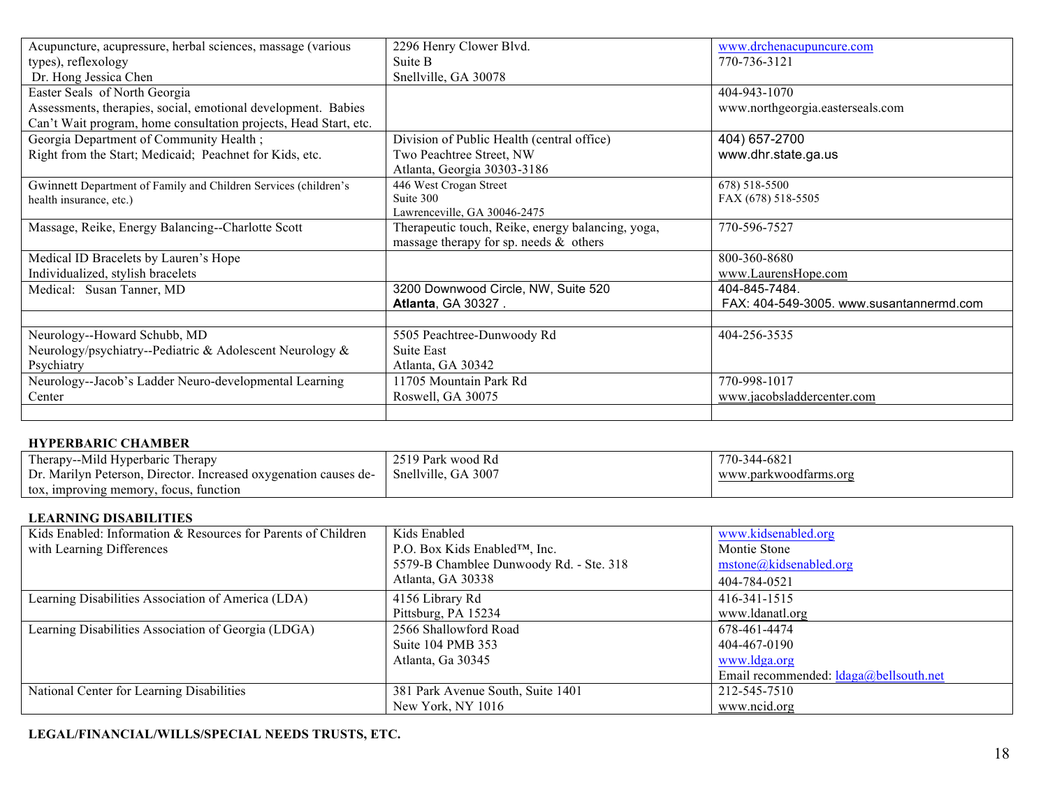| Acupuncture, acupressure, herbal sciences, massage (various      | 2296 Henry Clower Blvd.                           | www.drchenacupuncure.com                 |
|------------------------------------------------------------------|---------------------------------------------------|------------------------------------------|
| types), reflexology                                              | Suite B                                           | 770-736-3121                             |
| Dr. Hong Jessica Chen                                            | Snellville, GA 30078                              |                                          |
| Easter Seals of North Georgia                                    |                                                   | 404-943-1070                             |
| Assessments, therapies, social, emotional development. Babies    |                                                   | www.northgeorgia.easterseals.com         |
| Can't Wait program, home consultation projects, Head Start, etc. |                                                   |                                          |
| Georgia Department of Community Health;                          | Division of Public Health (central office)        | 404) 657-2700                            |
| Right from the Start; Medicaid; Peachnet for Kids, etc.          | Two Peachtree Street, NW                          | www.dhr.state.ga.us                      |
|                                                                  | Atlanta, Georgia 30303-3186                       |                                          |
| Gwinnett Department of Family and Children Services (children's  | 446 West Crogan Street                            | 678) 518-5500                            |
| health insurance, etc.)                                          | Suite 300                                         | FAX (678) 518-5505                       |
|                                                                  | Lawrenceville, GA 30046-2475                      |                                          |
| Massage, Reike, Energy Balancing--Charlotte Scott                | Therapeutic touch, Reike, energy balancing, yoga, | 770-596-7527                             |
|                                                                  | massage therapy for sp. needs $\&$ others         |                                          |
| Medical ID Bracelets by Lauren's Hope                            |                                                   | 800-360-8680                             |
| Individualized, stylish bracelets                                |                                                   | www.LaurensHope.com                      |
| Medical: Susan Tanner, MD                                        | 3200 Downwood Circle, NW, Suite 520               | 404-845-7484.                            |
|                                                                  | <b>Atlanta, GA 30327.</b>                         | FAX: 404-549-3005. www.susantannermd.com |
|                                                                  |                                                   |                                          |
| Neurology--Howard Schubb, MD                                     | 5505 Peachtree-Dunwoody Rd                        | 404-256-3535                             |
| Neurology/psychiatry--Pediatric & Adolescent Neurology &         | Suite East                                        |                                          |
| Psychiatry                                                       | Atlanta, GA 30342                                 |                                          |
| Neurology--Jacob's Ladder Neuro-developmental Learning           | 11705 Mountain Park Rd                            | 770-998-1017                             |
| Center                                                           | Roswell, GA 30075                                 | www.jacobsladdercenter.com               |
|                                                                  |                                                   |                                          |

# **HYPERBARIC CHAMBER**

| Therapy--Mild Hyperbaric Therapy                                 | 2519 Park wood Rd   | 770-344-6821          |
|------------------------------------------------------------------|---------------------|-----------------------|
| Dr. Marilyn Peterson, Director. Increased oxygenation causes de- | Snellville, GA 3007 | www.parkwoodfarms.org |
| tox, improving memory, focus, function                           |                     |                       |

### **LEARNING DISABILITIES**

| Kids Enabled: Information & Resources for Parents of Children | Kids Enabled                            | www.kidsenabled.org                      |
|---------------------------------------------------------------|-----------------------------------------|------------------------------------------|
| with Learning Differences                                     | P.O. Box Kids Enabled™, Inc.            | Montie Stone                             |
|                                                               | 5579-B Chamblee Dunwoody Rd. - Ste. 318 | mstone@kidsenabled.org                   |
|                                                               | Atlanta, GA 30338                       | 404-784-0521                             |
| Learning Disabilities Association of America (LDA)            | 4156 Library Rd                         | 416-341-1515                             |
|                                                               | Pittsburg, PA 15234                     | www.ldanatl.org                          |
| Learning Disabilities Association of Georgia (LDGA)           | 2566 Shallowford Road                   | 678-461-4474                             |
|                                                               | Suite 104 PMB 353                       | 404-467-0190                             |
|                                                               | Atlanta, Ga 30345                       | www.ldga.org                             |
|                                                               |                                         | Email recommended: $ldaga@bellsouth.net$ |
| National Center for Learning Disabilities                     | 381 Park Avenue South, Suite 1401       | 212-545-7510                             |
|                                                               | New York, NY 1016                       | www.ncid.org                             |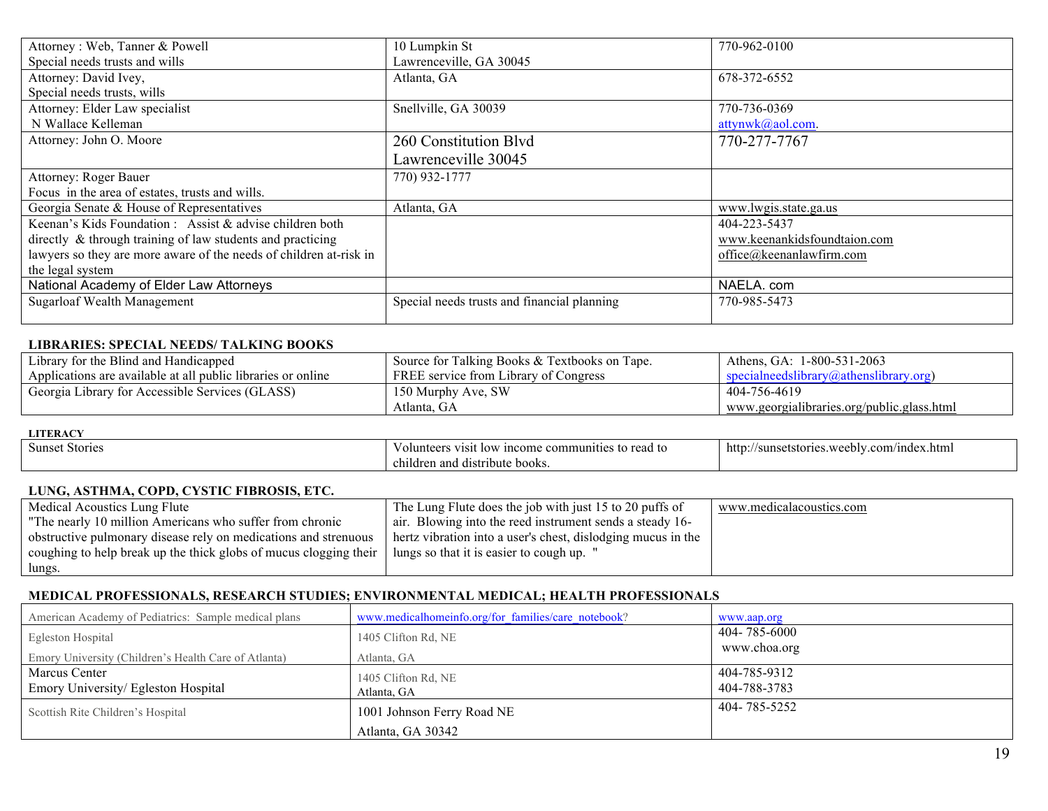| Attorney: Web, Tanner & Powell                                     | 10 Lumpkin St                               | 770-962-0100                 |
|--------------------------------------------------------------------|---------------------------------------------|------------------------------|
| Special needs trusts and wills                                     | Lawrenceville, GA 30045                     |                              |
| Attorney: David Ivey,                                              | Atlanta, GA                                 | 678-372-6552                 |
| Special needs trusts, wills                                        |                                             |                              |
| Attorney: Elder Law specialist                                     | Snellville, GA 30039                        | 770-736-0369                 |
| N Wallace Kelleman                                                 |                                             | attynwk@aol.com.             |
| Attorney: John O. Moore                                            | 260 Constitution Blvd                       | 770-277-7767                 |
|                                                                    | Lawrenceville 30045                         |                              |
| <b>Attorney: Roger Bauer</b>                                       | 770) 932-1777                               |                              |
| Focus in the area of estates, trusts and wills.                    |                                             |                              |
| Georgia Senate & House of Representatives                          | Atlanta, GA                                 | www.lwgis.state.ga.us        |
| Keenan's Kids Foundation : Assist $\&$ advise children both        |                                             | 404-223-5437                 |
| directly & through training of law students and practicing         |                                             | www.keenankidsfoundtaion.com |
| lawyers so they are more aware of the needs of children at-risk in |                                             | office@keenanlawfirm.com     |
| the legal system                                                   |                                             |                              |
| National Academy of Elder Law Attorneys                            |                                             | NAELA. com                   |
| <b>Sugarloaf Wealth Management</b>                                 | Special needs trusts and financial planning | 770-985-5473                 |
|                                                                    |                                             |                              |

#### **LIBRARIES: SPECIAL NEEDS/ TALKING BOOKS**

| Library for the Blind and Handicapped                        | Source for Talking Books & Textbooks on Tape. | Athens, GA: 1-800-531-2063                  |
|--------------------------------------------------------------|-----------------------------------------------|---------------------------------------------|
| Applications are available at all public libraries or online | FREE service from Library of Congress         | $specal need slibrarv(a)athenslibrarv.org)$ |
| Georgia Library for Accessible Services (GLASS)              | 150 Murphy Ave, SW                            | 404-756-4619                                |
|                                                              | Atlanta. GA                                   | www.georgialibraries.org/public.glass.html  |

#### **LITERACY**

| 811ns.<br>storie<br>10T | communitie<br>read to<br>tΩ<br>:ome<br>'SI).<br>$\mathbf{u}$<br>w   | http:<br>ex.html<br><b>TTT</b><br>-etet-<br>com/index.<br>$\ldots$ weep $V \cap \Gamma$<br>etstories<br>sulls |
|-------------------------|---------------------------------------------------------------------|---------------------------------------------------------------------------------------------------------------|
|                         | $\cdot$ $\cdot$<br>ribute books:<br>and<br>d <sub>1S</sub><br>enuar |                                                                                                               |

# **LUNG, ASTHMA, COPD, CYSTIC FIBROSIS, ETC.**

| Medical Acoustics Lung Flute                                      | The Lung Flute does the job with just 15 to 20 puffs of      | www.medicalacoustics.com |
|-------------------------------------------------------------------|--------------------------------------------------------------|--------------------------|
| "The nearly 10 million Americans who suffer from chronic          | air. Blowing into the reed instrument sends a steady 16-     |                          |
| obstructive pulmonary disease rely on medications and strenuous   | hertz vibration into a user's chest, dislodging mucus in the |                          |
| coughing to help break up the thick globs of mucus clogging their | lungs so that it is easier to cough up. "                    |                          |
| lungs.                                                            |                                                              |                          |

## **MEDICAL PROFESSIONALS, RESEARCH STUDIES; ENVIRONMENTAL MEDICAL; HEALTH PROFESSIONALS**

| American Academy of Pediatrics: Sample medical plans | www.medicalhomeinfo.org/for families/care notebook? | www.aap.org                  |
|------------------------------------------------------|-----------------------------------------------------|------------------------------|
| Egleston Hospital                                    | 1405 Clifton Rd, NE                                 | 404-785-6000                 |
| Emory University (Children's Health Care of Atlanta) | Atlanta, GA                                         | www.choa.org                 |
| Marcus Center<br>Emory University/ Egleston Hospital | 1405 Clifton Rd, NE<br>Atlanta, GA                  | 404-785-9312<br>404-788-3783 |
| Scottish Rite Children's Hospital                    | 1001 Johnson Ferry Road NE                          | 404-785-5252                 |
|                                                      | Atlanta, GA 30342                                   |                              |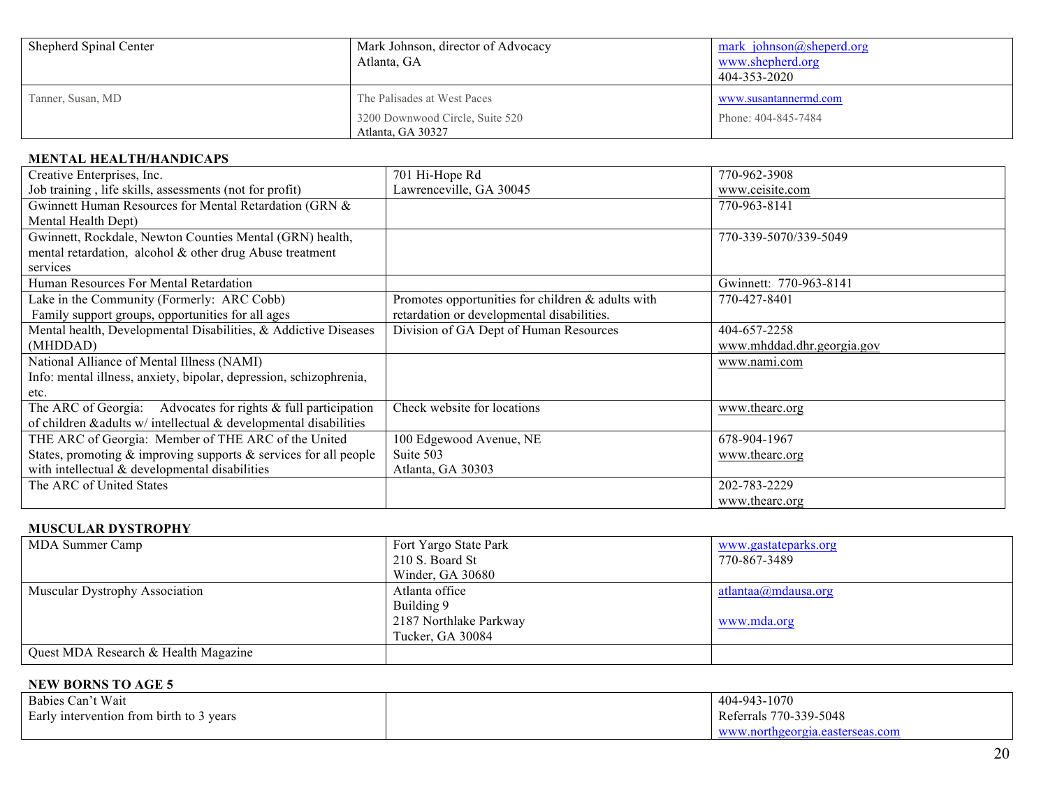| Shepherd Spinal Center | Mark Johnson, director of Advocacy<br>Atlanta, GA | mark johnson@sheperd.org<br>www.shepherd.org<br>404-353-2020 |
|------------------------|---------------------------------------------------|--------------------------------------------------------------|
| Tanner, Susan, MD      | The Palisades at West Paces                       | www.susantannermd.com                                        |
|                        | 3200 Downwood Circle, Suite 520                   | Phone: 404-845-7484                                          |
|                        | Atlanta, GA 30327                                 |                                                              |

## **MENTAL HEALTH/HANDICAPS**

| Creative Enterprises, Inc.                                             | 701 Hi-Hope Rd                                    | 770-962-3908               |
|------------------------------------------------------------------------|---------------------------------------------------|----------------------------|
| Job training, life skills, assessments (not for profit)                | Lawrenceville, GA 30045                           | www.ceisite.com            |
| Gwinnett Human Resources for Mental Retardation (GRN &                 |                                                   | 770-963-8141               |
| Mental Health Dept)                                                    |                                                   |                            |
| Gwinnett, Rockdale, Newton Counties Mental (GRN) health,               |                                                   | 770-339-5070/339-5049      |
| mental retardation, alcohol & other drug Abuse treatment               |                                                   |                            |
| services                                                               |                                                   |                            |
| Human Resources For Mental Retardation                                 |                                                   | Gwinnett: 770-963-8141     |
| Lake in the Community (Formerly: ARC Cobb)                             | Promotes opportunities for children & adults with | 770-427-8401               |
| Family support groups, opportunities for all ages                      | retardation or developmental disabilities.        |                            |
| Mental health, Developmental Disabilities, & Addictive Diseases        | Division of GA Dept of Human Resources            | 404-657-2258               |
| (MHDDAD)                                                               |                                                   | www.mhddad.dhr.georgia.gov |
| National Alliance of Mental Illness (NAMI)                             |                                                   | www.nami.com               |
| Info: mental illness, anxiety, bipolar, depression, schizophrenia,     |                                                   |                            |
| etc.                                                                   |                                                   |                            |
| The ARC of Georgia: Advocates for rights & full participation          | Check website for locations                       | www.thearc.org             |
| of children & adults $w/$ intellectual & developmental disabilities    |                                                   |                            |
| THE ARC of Georgia: Member of THE ARC of the United                    | 100 Edgewood Avenue, NE                           | 678-904-1967               |
| States, promoting $\&$ improving supports $\&$ services for all people | Suite 503                                         | www.thearc.org             |
| with intellectual & developmental disabilities                         | Atlanta, GA 30303                                 |                            |
| The ARC of United States                                               |                                                   | 202-783-2229               |
|                                                                        |                                                   | www.thearc.org             |

# **MUSCULAR DYSTROPHY**

| MDA Summer Camp                       | Fort Yargo State Park  | www.gastateparks.org |
|---------------------------------------|------------------------|----------------------|
|                                       | 210 S. Board St        | 770-867-3489         |
|                                       | Winder, GA 30680       |                      |
| <b>Muscular Dystrophy Association</b> | Atlanta office         | atlantaa@mdausa.org  |
|                                       | Building 9             |                      |
|                                       | 2187 Northlake Parkway | www.mda.org          |
|                                       | Tucker, GA 30084       |                      |
| Quest MDA Research & Health Magazine  |                        |                      |

# **NEW BORNS TO AGE 5**

| Babies Can't Wait                        | 404-943-1070                    |
|------------------------------------------|---------------------------------|
| Early intervention from birth to 3 years | Referrals 770-339-5048          |
|                                          | www.northgeorgia.easterseas.com |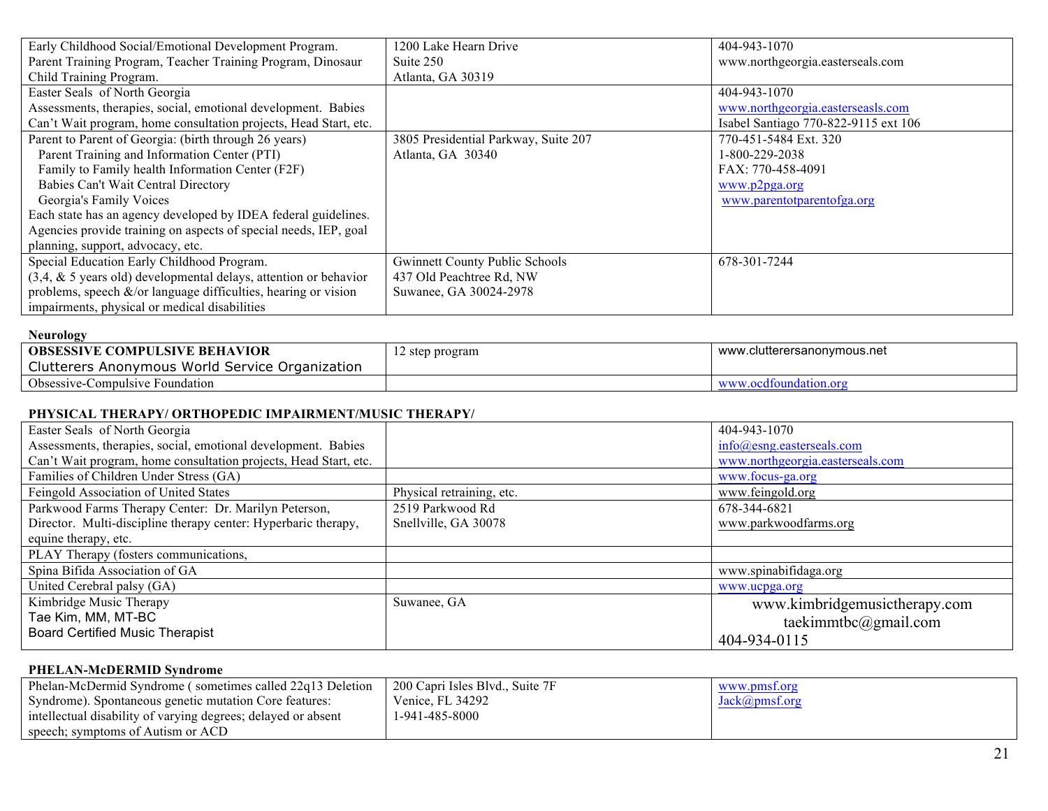| Early Childhood Social/Emotional Development Program.                | 1200 Lake Hearn Drive                 | 404-943-1070                         |
|----------------------------------------------------------------------|---------------------------------------|--------------------------------------|
| Parent Training Program, Teacher Training Program, Dinosaur          | Suite 250                             | www.northgeorgia.easterseals.com     |
| Child Training Program.                                              | Atlanta, GA 30319                     |                                      |
| Easter Seals of North Georgia                                        |                                       | 404-943-1070                         |
| Assessments, therapies, social, emotional development. Babies        |                                       | www.northgeorgia.easterseasls.com    |
| Can't Wait program, home consultation projects, Head Start, etc.     |                                       | Isabel Santiago 770-822-9115 ext 106 |
| Parent to Parent of Georgia: (birth through 26 years)                | 3805 Presidential Parkway, Suite 207  | 770-451-5484 Ext. 320                |
| Parent Training and Information Center (PTI)                         | Atlanta, GA 30340                     | 1-800-229-2038                       |
| Family to Family health Information Center (F2F)                     |                                       | FAX: 770-458-4091                    |
| Babies Can't Wait Central Directory                                  |                                       | www.p2pga.org                        |
| Georgia's Family Voices                                              |                                       | www.parentotparentofga.org           |
| Each state has an agency developed by IDEA federal guidelines.       |                                       |                                      |
| Agencies provide training on aspects of special needs, IEP, goal     |                                       |                                      |
| planning, support, advocacy, etc.                                    |                                       |                                      |
| Special Education Early Childhood Program.                           | <b>Gwinnett County Public Schools</b> | 678-301-7244                         |
| $(3,4, \& 5)$ years old) developmental delays, attention or behavior | 437 Old Peachtree Rd, NW              |                                      |
| problems, speech $\&$ /or language difficulties, hearing or vision   | Suwanee, GA 30024-2978                |                                      |
| impairments, physical or medical disabilities                        |                                       |                                      |

| Neurology                                       |                 |                             |
|-------------------------------------------------|-----------------|-----------------------------|
| <b>OBSESSIVE COMPULSIVE BEHAVIOR</b>            | 12 step program | www.clutterersanonymous.net |
| Clutterers Anonymous World Service Organization |                 |                             |
| <b>Obsessive-Compulsive Foundation</b>          |                 | www.ocdfoundation.org       |

# **PHYSICAL THERAPY/ ORTHOPEDIC IMPAIRMENT/MUSIC THERAPY/**

| Easter Seals of North Georgia                                    |                           | 404-943-1070                     |
|------------------------------------------------------------------|---------------------------|----------------------------------|
| Assessments, therapies, social, emotional development. Babies    |                           | $info(a)$ esng.easterseals.com   |
| Can't Wait program, home consultation projects, Head Start, etc. |                           | www.northgeorgia.easterseals.com |
| Families of Children Under Stress (GA)                           |                           | www.focus-ga.org                 |
| Feingold Association of United States                            | Physical retraining, etc. | www.feingold.org                 |
| Parkwood Farms Therapy Center: Dr. Marilyn Peterson,             | 2519 Parkwood Rd          | 678-344-6821                     |
| Director. Multi-discipline therapy center: Hyperbaric therapy,   | Snellville, GA 30078      | www.parkwoodfarms.org            |
| equine therapy, etc.                                             |                           |                                  |
| PLAY Therapy (fosters communications,                            |                           |                                  |
| Spina Bifida Association of GA                                   |                           | www.spinabifidaga.org            |
| United Cerebral palsy (GA)                                       |                           | www.ucpga.org                    |
| Kimbridge Music Therapy                                          | Suwanee, GA               | www.kimbridgemusictherapy.com    |
| Tae Kim, MM, MT-BC                                               |                           | taekimmtbc@gmail.com             |
| <b>Board Certified Music Therapist</b>                           |                           | 404-934-0115                     |

# **PHELAN-McDERMID Syndrome**

| Phelan-McDermid Syndrome (sometimes called 22q13 Deletion     | 200 Capri Isles Blvd., Suite 7F | WWW.pms. |
|---------------------------------------------------------------|---------------------------------|----------|
| Syndrome). Spontaneous genetic mutation Core features:        | Venice, FL 34292                |          |
| intellectual disability of varying degrees; delayed or absent | 1-941-485-8000                  |          |
| speech; symptoms of Autism or ACD                             |                                 |          |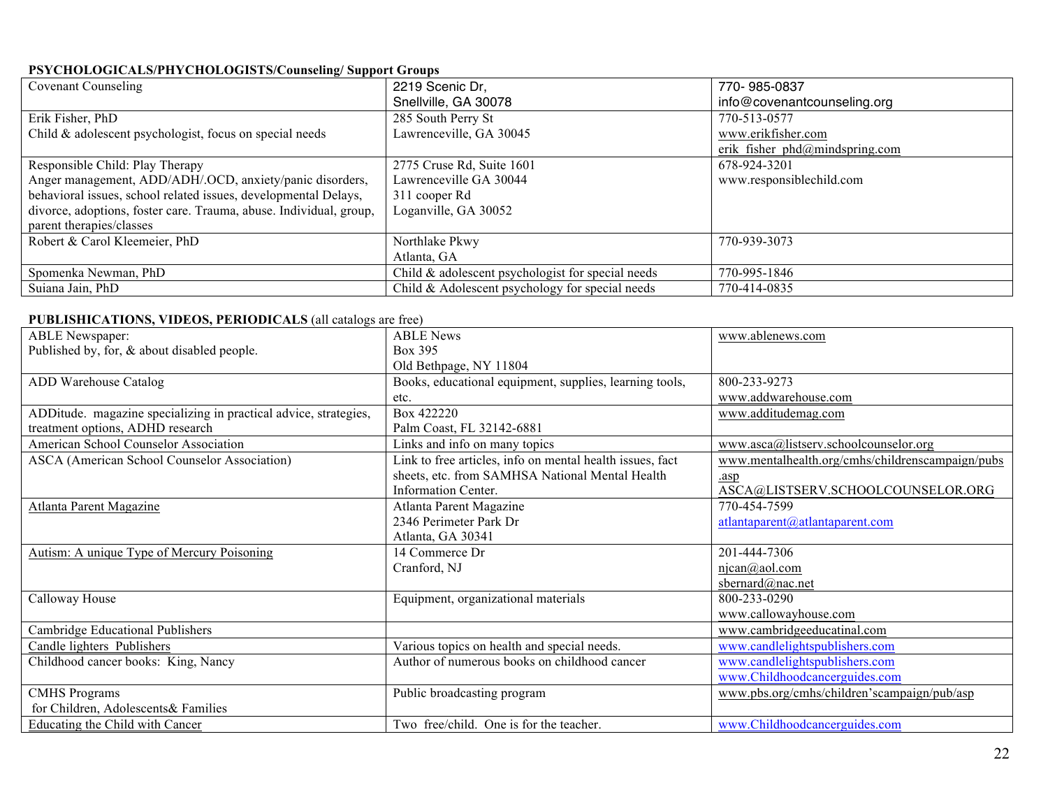# **PSYCHOLOGICALS/PHYCHOLOGISTS/Counseling/ Support Groups**

| <b>Covenant Counseling</b>                                         | 2219 Scenic Dr.                                   | 770-985-0837                                 |
|--------------------------------------------------------------------|---------------------------------------------------|----------------------------------------------|
|                                                                    | Snellville, GA 30078                              | info@covenantcounseling.org                  |
| Erik Fisher, PhD                                                   | 285 South Perry St                                | 770-513-0577                                 |
| Child & adolescent psychologist, focus on special needs            | Lawrenceville, GA 30045                           | www.erikfisher.com                           |
|                                                                    |                                                   | erik fisher $phd(\partial_l mindspring.com)$ |
| Responsible Child: Play Therapy                                    | 2775 Cruse Rd, Suite 1601                         | 678-924-3201                                 |
| Anger management, ADD/ADH/.OCD, anxiety/panic disorders,           | Lawrenceville GA 30044                            | www.responsiblechild.com                     |
| behavioral issues, school related issues, developmental Delays,    | 311 cooper Rd                                     |                                              |
| divorce, adoptions, foster care. Trauma, abuse. Individual, group, | Loganville, GA 30052                              |                                              |
| parent therapies/classes                                           |                                                   |                                              |
| Robert & Carol Kleemeier, PhD                                      | Northlake Pkwy                                    | 770-939-3073                                 |
|                                                                    | Atlanta, GA                                       |                                              |
| Spomenka Newman, PhD                                               | Child & adolescent psychologist for special needs | 770-995-1846                                 |
| Suiana Jain, PhD                                                   | Child $&$ Adolescent psychology for special needs | 770-414-0835                                 |

#### **PUBLISHICATIONS, VIDEOS, PERIODICALS** (all catalogs are free)

| <b>ABLE Newspaper:</b>                                           | <b>ABLE News</b>                                          | www.ablenews.com                                 |
|------------------------------------------------------------------|-----------------------------------------------------------|--------------------------------------------------|
| Published by, for, & about disabled people.                      | Box 395                                                   |                                                  |
|                                                                  | Old Bethpage, NY 11804                                    |                                                  |
| ADD Warehouse Catalog                                            | Books, educational equipment, supplies, learning tools,   | 800-233-9273                                     |
|                                                                  | etc.                                                      | www.addwarehouse.com                             |
| ADDitude. magazine specializing in practical advice, strategies, | Box 422220                                                | www.additudemag.com                              |
| treatment options, ADHD research                                 | Palm Coast, FL 32142-6881                                 |                                                  |
| American School Counselor Association                            | Links and info on many topics                             | www.asca@listserv.schoolcounselor.org            |
| <b>ASCA</b> (American School Counselor Association)              | Link to free articles, info on mental health issues, fact | www.mentalhealth.org/cmhs/childrenscampaign/pubs |
|                                                                  | sheets, etc. from SAMHSA National Mental Health           | .asp                                             |
|                                                                  | Information Center.                                       | ASCA@LISTSERV.SCHOOLCOUNSELOR.ORG                |
| Atlanta Parent Magazine                                          | Atlanta Parent Magazine                                   | 770-454-7599                                     |
|                                                                  | 2346 Perimeter Park Dr                                    | atlantaparent@atlantaparent.com                  |
|                                                                  | Atlanta, GA 30341                                         |                                                  |
| <b>Autism: A unique Type of Mercury Poisoning</b>                | 14 Commerce Dr                                            | 201-444-7306                                     |
|                                                                  | Cranford, NJ                                              | $n$ jcan $@$ aol.com                             |
|                                                                  |                                                           | sbernard@nac.net                                 |
| Calloway House                                                   | Equipment, organizational materials                       | 800-233-0290                                     |
|                                                                  |                                                           | www.callowayhouse.com                            |
| Cambridge Educational Publishers                                 |                                                           | www.cambridgeeducatinal.com                      |
| Candle lighters Publishers                                       | Various topics on health and special needs.               | www.candlelightspublishers.com                   |
| Childhood cancer books: King, Nancy                              | Author of numerous books on childhood cancer              | www.candlelightspublishers.com                   |
|                                                                  |                                                           | www.Childhoodcancerguides.com                    |
| <b>CMHS Programs</b>                                             | Public broadcasting program                               | www.pbs.org/cmhs/children'scampaign/pub/asp      |
| for Children, Adolescents & Families                             |                                                           |                                                  |
| Educating the Child with Cancer                                  | Two free/child. One is for the teacher.                   | www.Childhoodcancerguides.com                    |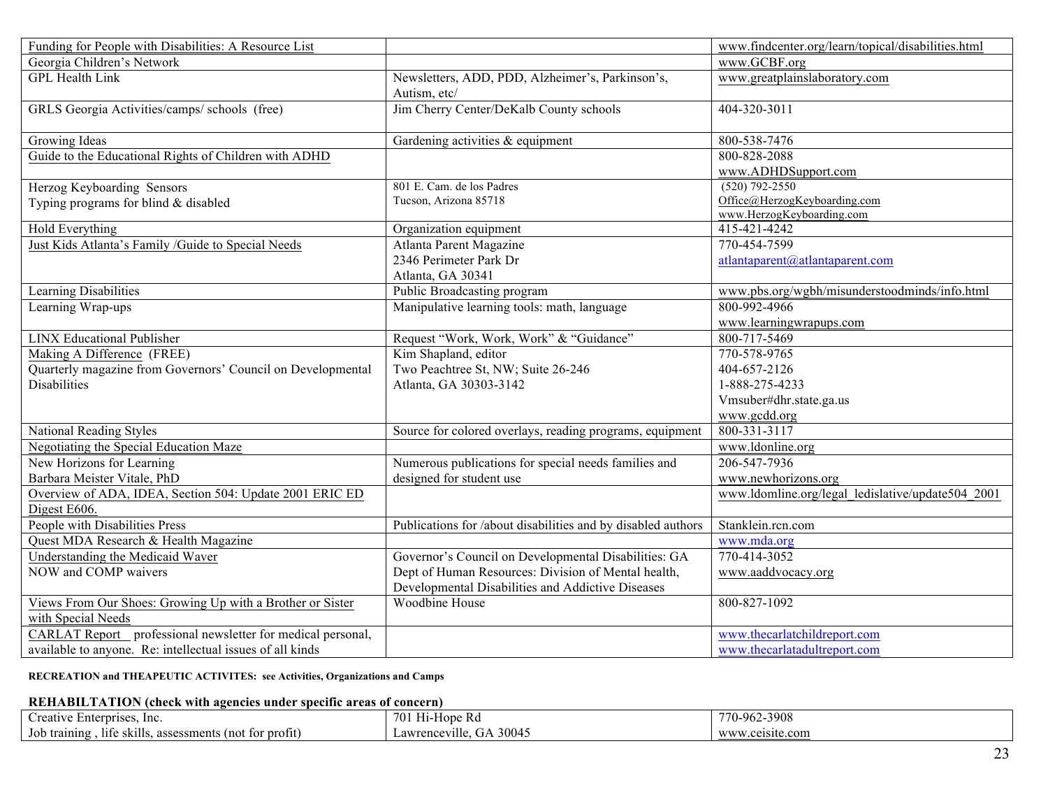| Funding for People with Disabilities: A Resource List       |                                                                  | www.findcenter.org/learn/topical/disabilities.html |
|-------------------------------------------------------------|------------------------------------------------------------------|----------------------------------------------------|
| Georgia Children's Network                                  |                                                                  | www.GCBF.org                                       |
| <b>GPL Health Link</b>                                      | Newsletters, ADD, PDD, Alzheimer's, Parkinson's,<br>Autism, etc/ | www.greatplainslaboratory.com                      |
| GRLS Georgia Activities/camps/ schools (free)               | Jim Cherry Center/DeKalb County schools                          | 404-320-3011                                       |
| Growing Ideas                                               | Gardening activities & equipment                                 | 800-538-7476                                       |
| Guide to the Educational Rights of Children with ADHD       |                                                                  | 800-828-2088                                       |
|                                                             |                                                                  | www.ADHDSupport.com                                |
| Herzog Keyboarding Sensors                                  | 801 E. Cam. de los Padres                                        | $(520) 792 - 2550$                                 |
| Typing programs for blind & disabled                        | Tucson, Arizona 85718                                            | Office@HerzogKeyboarding.com                       |
|                                                             |                                                                  | www.HerzogKeyboarding.com                          |
| Hold Everything                                             | Organization equipment                                           | 415-421-4242                                       |
| Just Kids Atlanta's Family /Guide to Special Needs          | Atlanta Parent Magazine                                          | 770-454-7599                                       |
|                                                             | 2346 Perimeter Park Dr                                           | atlantaparent@atlantaparent.com                    |
|                                                             | Atlanta, GA 30341                                                |                                                    |
| Learning Disabilities                                       | Public Broadcasting program                                      | www.pbs.org/wgbh/misunderstoodminds/info.html      |
| Learning Wrap-ups                                           | Manipulative learning tools: math, language                      | 800-992-4966                                       |
|                                                             |                                                                  | www.learningwrapups.com                            |
| <b>LINX Educational Publisher</b>                           | Request "Work, Work, Work" & "Guidance"                          | 800-717-5469                                       |
| Making A Difference (FREE)                                  | Kim Shapland, editor                                             | 770-578-9765                                       |
| Quarterly magazine from Governors' Council on Developmental | Two Peachtree St, NW; Suite 26-246                               | 404-657-2126                                       |
| <b>Disabilities</b>                                         | Atlanta, GA 30303-3142                                           | 1-888-275-4233                                     |
|                                                             |                                                                  | Vmsuber#dhr.state.ga.us                            |
|                                                             |                                                                  | www.gcdd.org                                       |
| National Reading Styles                                     | Source for colored overlays, reading programs, equipment         | 800-331-3117                                       |
| Negotiating the Special Education Maze                      |                                                                  | www.ldonline.org                                   |
| New Horizons for Learning                                   | Numerous publications for special needs families and             | 206-547-7936                                       |
| Barbara Meister Vitale, PhD                                 | designed for student use                                         | www.newhorizons.org                                |
| Overview of ADA, IDEA, Section 504: Update 2001 ERIC ED     |                                                                  | www.ldomline.org/legal_ledislative/update504_2001  |
| Digest E606.                                                |                                                                  |                                                    |
| People with Disabilities Press                              | Publications for /about disabilities and by disabled authors     | Stanklein.rcn.com                                  |
| Quest MDA Research & Health Magazine                        |                                                                  | www.mda.org                                        |
| <b>Understanding the Medicaid Waver</b>                     | Governor's Council on Developmental Disabilities: GA             | 770-414-3052                                       |
| NOW and COMP waivers                                        | Dept of Human Resources: Division of Mental health,              | www.aaddvocacy.org                                 |
|                                                             | Developmental Disabilities and Addictive Diseases                |                                                    |
| Views From Our Shoes: Growing Up with a Brother or Sister   | Woodbine House                                                   | 800-827-1092                                       |
| with Special Needs                                          |                                                                  |                                                    |
| CARLAT Report professional newsletter for medical personal, |                                                                  | www.thecarlatchildreport.com                       |
| available to anyone. Re: intellectual issues of all kinds   |                                                                  | www.thecarlatadultreport.com                       |

#### **RECREATION and THEAPEUTIC ACTIVITES: see Activities, Organizations and Camps**

#### **REHABILTATION (check with agencies under specific areas of concern)**

| $\sim$<br>Creative<br>ve Enterprises, Inc.                      | 701<br>H <sub>1</sub> -Hope Rd | 70-962-3908     |
|-----------------------------------------------------------------|--------------------------------|-----------------|
| skills.<br>Job training<br>life<br>assessments (not for profit) | <br>GA 30045<br>Lawrenceville. | www.ceisite.com |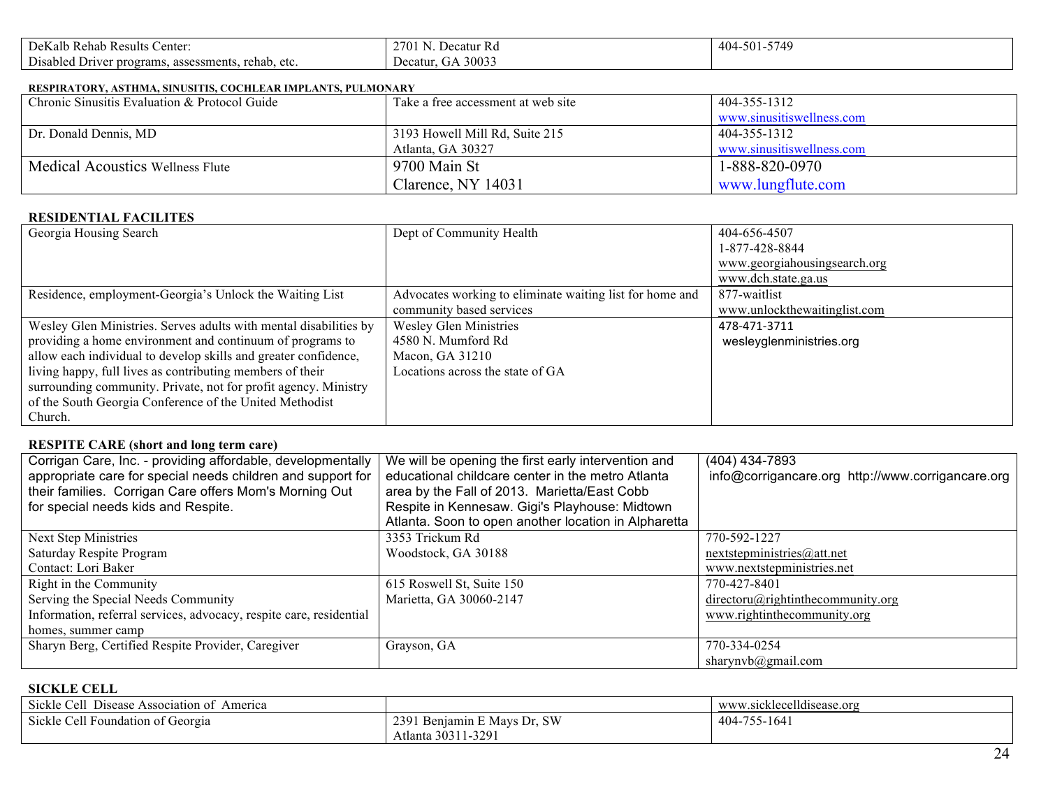| $\sim$<br>enter<br>DeKalb Rehab Results                                                                                     | 270 <sub>1</sub><br>Decatur<br>: Ko | 5749<br>-501<br>404 |
|-----------------------------------------------------------------------------------------------------------------------------|-------------------------------------|---------------------|
| $\sim$ $\cdot$<br>rehab.<br>. 1192<br>: programs. assessments<br>$\Delta$ to<br>)rus e<br>1.JI 1<br>UU.<br>$\cdot$ v $\sim$ | 30033<br>Decatur<br>۰тΑ             |                     |

#### **RESPIRATORY, ASTHMA, SINUSITIS, COCHLEAR IMPLANTS, PULMONARY**

| Chronic Sinusitis Evaluation & Protocol Guide | Take a free accessment at web site | 404-355-1312              |
|-----------------------------------------------|------------------------------------|---------------------------|
|                                               |                                    | www.sinusitiswellness.com |
| Dr. Donald Dennis, MD                         | 3193 Howell Mill Rd, Suite 215     | 404-355-1312              |
|                                               | Atlanta, GA 30327                  | www.sinusitiswellness.com |
| <b>Medical Acoustics Wellness Flute</b>       | 9700 Main St                       | 1-888-820-0970            |
|                                               | Clarence, NY 14031                 | www.lungflute.com         |

#### **RESIDENTIAL FACILITES**

| Georgia Housing Search                                            | Dept of Community Health                                 | 404-656-4507                 |
|-------------------------------------------------------------------|----------------------------------------------------------|------------------------------|
|                                                                   |                                                          | 1-877-428-8844               |
|                                                                   |                                                          | www.georgiahousingsearch.org |
|                                                                   |                                                          | www.dch.state.ga.us          |
| Residence, employment-Georgia's Unlock the Waiting List           | Advocates working to eliminate waiting list for home and | 877-waitlist                 |
|                                                                   | community based services                                 | www.unlockthewaitinglist.com |
| Wesley Glen Ministries. Serves adults with mental disabilities by | <b>Wesley Glen Ministries</b>                            | 478-471-3711                 |
| providing a home environment and continuum of programs to         | 4580 N. Mumford Rd                                       | wesleyglenministries.org     |
| allow each individual to develop skills and greater confidence,   | Macon, GA 31210                                          |                              |
| living happy, full lives as contributing members of their         | Locations across the state of GA                         |                              |
| surrounding community. Private, not for profit agency. Ministry   |                                                          |                              |
| of the South Georgia Conference of the United Methodist           |                                                          |                              |
| Church.                                                           |                                                          |                              |

# **RESPITE CARE (short and long term care)**

| Corrigan Care, Inc. - providing affordable, developmentally<br>appropriate care for special needs children and support for | We will be opening the first early intervention and<br>educational childcare center in the metro Atlanta | (404) 434-7893<br>info@corrigancare.org http://www.corrigancare.org |
|----------------------------------------------------------------------------------------------------------------------------|----------------------------------------------------------------------------------------------------------|---------------------------------------------------------------------|
| their families. Corrigan Care offers Mom's Morning Out                                                                     | area by the Fall of 2013. Marietta/East Cobb                                                             |                                                                     |
| for special needs kids and Respite.                                                                                        | Respite in Kennesaw. Gigi's Playhouse: Midtown                                                           |                                                                     |
|                                                                                                                            | Atlanta. Soon to open another location in Alpharetta                                                     |                                                                     |
| Next Step Ministries                                                                                                       | 3353 Trickum Rd                                                                                          | 770-592-1227                                                        |
| Saturday Respite Program                                                                                                   | Woodstock, GA 30188                                                                                      | nextstepministics@att.net                                           |
| Contact: Lori Baker                                                                                                        |                                                                                                          | www.nextstepministries.net                                          |
| Right in the Community                                                                                                     | 615 Roswell St, Suite 150                                                                                | 770-427-8401                                                        |
| Serving the Special Needs Community                                                                                        | Marietta, GA 30060-2147                                                                                  | $direction(a)$ rightinthecommunity.org                              |
| Information, referral services, advocacy, respite care, residential                                                        |                                                                                                          | www.rightinthecommunity.org                                         |
| homes, summer camp                                                                                                         |                                                                                                          |                                                                     |
| Sharyn Berg, Certified Respite Provider, Caregiver                                                                         | Grayson, GA                                                                                              | 770-334-0254                                                        |
|                                                                                                                            |                                                                                                          | sharynvb@gmail.com                                                  |

#### **SICKLE CELL**

| Sickle Cell<br>$\sim$<br>America<br>Disease Association of |                                | $11.1^{\circ}$<br>www.sicklecelidisease.org |
|------------------------------------------------------------|--------------------------------|---------------------------------------------|
| Sickle Cell Foundation of Georgia                          | Benjamin E Mays Dr, SW<br>239. | 404-755-1641                                |
|                                                            | ' 30311-329<br>Atlanta         |                                             |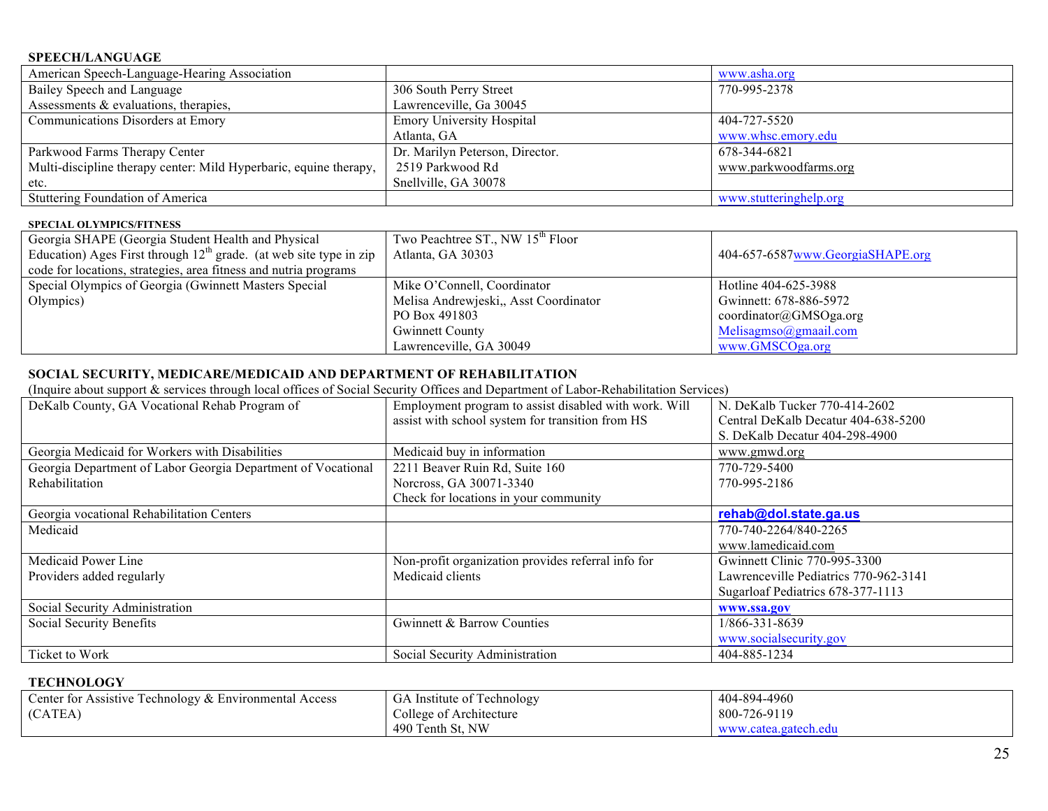#### **SPEECH/LANGUAGE**

| American Speech-Language-Hearing Association                      |                                  | www.asha.org           |
|-------------------------------------------------------------------|----------------------------------|------------------------|
| Bailey Speech and Language                                        | 306 South Perry Street           | 770-995-2378           |
| Assessments & evaluations, therapies,                             | Lawrenceville, Ga 30045          |                        |
| Communications Disorders at Emory                                 | <b>Emory University Hospital</b> | 404-727-5520           |
|                                                                   | Atlanta, GA                      | www.whsc.emory.edu     |
| Parkwood Farms Therapy Center                                     | Dr. Marilyn Peterson, Director.  | 678-344-6821           |
| Multi-discipline therapy center: Mild Hyperbaric, equine therapy, | 2519 Parkwood Rd                 | www.parkwoodfarms.org  |
| etc.                                                              | Snellville, GA 30078             |                        |
| <b>Stuttering Foundation of America</b>                           |                                  | www.stutteringhelp.org |

#### **SPECIAL OLYMPICS/FITNESS**

| Georgia SHAPE (Georgia Student Health and Physical<br>Education) Ages First through $12th$ grade. (at web site type in zip | Two Peachtree ST., NW 15 <sup>th</sup> Floor<br>Atlanta, GA 30303 | 404-657-6587www.GeorgiaSHAPE.org |
|----------------------------------------------------------------------------------------------------------------------------|-------------------------------------------------------------------|----------------------------------|
| code for locations, strategies, area fitness and nutria programs                                                           |                                                                   |                                  |
| Special Olympics of Georgia (Gwinnett Masters Special                                                                      | Mike O'Connell, Coordinator                                       | Hotline 404-625-3988             |
| Olympics)                                                                                                                  | Melisa Andrewieski, Asst Coordinator                              | Gwinnett: 678-886-5972           |
|                                                                                                                            | PO Box 491803                                                     | coordinator@GMSOga.org           |
|                                                                                                                            | <b>Gwinnett County</b>                                            | Melisagmso(a)gmaail.com          |
|                                                                                                                            | Lawrenceville, GA 30049                                           | www.GMSCOga.org                  |

# **SOCIAL SECURITY, MEDICARE/MEDICAID AND DEPARTMENT OF REHABILITATION**

(Inquire about support & services through local offices of Social Security Offices and Department of Labor-Rehabilitation Services)

| DeKalb County, GA Vocational Rehab Program of                | Employment program to assist disabled with work. Will | N. DeKalb Tucker 770-414-2602         |
|--------------------------------------------------------------|-------------------------------------------------------|---------------------------------------|
|                                                              | assist with school system for transition from HS      | Central DeKalb Decatur 404-638-5200   |
|                                                              |                                                       | S. DeKalb Decatur 404-298-4900        |
| Georgia Medicaid for Workers with Disabilities               | Medicaid buy in information                           | www.gmwd.org                          |
| Georgia Department of Labor Georgia Department of Vocational | 2211 Beaver Ruin Rd, Suite 160                        | 770-729-5400                          |
| Rehabilitation                                               | Norcross, GA 30071-3340                               | 770-995-2186                          |
|                                                              | Check for locations in your community                 |                                       |
| Georgia vocational Rehabilitation Centers                    |                                                       | rehab@dol.state.ga.us                 |
| Medicaid                                                     |                                                       | 770-740-2264/840-2265                 |
|                                                              |                                                       | www.lamedicaid.com                    |
| Medicaid Power Line                                          | Non-profit organization provides referral info for    | Gwinnett Clinic 770-995-3300          |
| Providers added regularly                                    | Medicaid clients                                      | Lawrenceville Pediatrics 770-962-3141 |
|                                                              |                                                       | Sugarloaf Pediatrics 678-377-1113     |
| Social Security Administration                               |                                                       | www.ssa.gov                           |
| Social Security Benefits                                     | Gwinnett & Barrow Counties                            | 1/866-331-8639                        |
|                                                              |                                                       | www.socialsecurity.gov                |
| Ticket to Work                                               | Social Security Administration                        | 404-885-1234                          |

#### **TECHNOLOGY**

| Center for Assistive Technology & Environmental Access | GA Institute of Technology | 404-894-4960         |
|--------------------------------------------------------|----------------------------|----------------------|
| (CATEA)                                                | College of Architecture    | 800-726-9119         |
|                                                        | 490 Tenth St. NW           | www.catea.gatech.edu |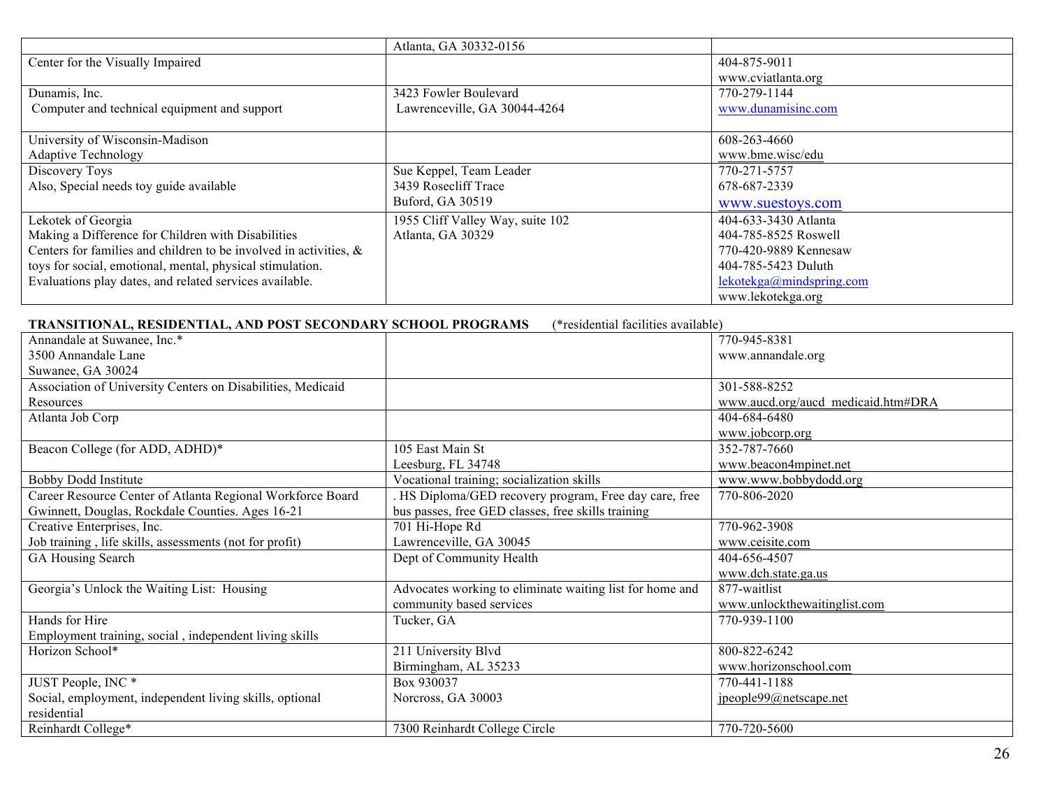|                                                                      | Atlanta, GA 30332-0156           |                          |
|----------------------------------------------------------------------|----------------------------------|--------------------------|
| Center for the Visually Impaired                                     |                                  | 404-875-9011             |
|                                                                      |                                  | www.cviatlanta.org       |
| Dunamis, Inc.                                                        | 3423 Fowler Boulevard            | 770-279-1144             |
| Computer and technical equipment and support                         | Lawrenceville, GA 30044-4264     | www.dunamisinc.com       |
|                                                                      |                                  |                          |
| University of Wisconsin-Madison                                      |                                  | 608-263-4660             |
| <b>Adaptive Technology</b>                                           |                                  | www.bme.wisc/edu         |
| Discovery Toys                                                       | Sue Keppel, Team Leader          | 770-271-5757             |
| Also, Special needs toy guide available                              | 3439 Rosecliff Trace             | 678-687-2339             |
|                                                                      | Buford, GA 30519                 | www.suestoys.com         |
| Lekotek of Georgia                                                   | 1955 Cliff Valley Way, suite 102 | 404-633-3430 Atlanta     |
| Making a Difference for Children with Disabilities                   | Atlanta, GA 30329                | 404-785-8525 Roswell     |
| Centers for families and children to be involved in activities, $\&$ |                                  | 770-420-9889 Kennesaw    |
| toys for social, emotional, mental, physical stimulation.            |                                  | 404-785-5423 Duluth      |
| Evaluations play dates, and related services available.              |                                  | lekotekga@mindspring.com |
|                                                                      |                                  | www.lekotekga.org        |

| TRANSITIONAL, RESIDENTIAL, AND POST SECONDARY SCHOOL PROGRAMS | (*residential facilities available)                      |                                    |
|---------------------------------------------------------------|----------------------------------------------------------|------------------------------------|
| Annandale at Suwanee, Inc.*                                   |                                                          | 770-945-8381                       |
| 3500 Annandale Lane                                           |                                                          | www.annandale.org                  |
| Suwanee, GA 30024                                             |                                                          |                                    |
| Association of University Centers on Disabilities, Medicaid   |                                                          | 301-588-8252                       |
| Resources                                                     |                                                          | www.aucd.org/aucd medicaid.htm#DRA |
| Atlanta Job Corp                                              |                                                          | 404-684-6480                       |
|                                                               |                                                          | www.jobcorp.org                    |
| Beacon College (for ADD, ADHD)*                               | 105 East Main St                                         | 352-787-7660                       |
|                                                               | Leesburg, FL 34748                                       | www.beacon4mpinet.net              |
| <b>Bobby Dodd Institute</b>                                   | Vocational training; socialization skills                | www.www.bobbydodd.org              |
| Career Resource Center of Atlanta Regional Workforce Board    | HS Diploma/GED recovery program, Free day care, free     | 770-806-2020                       |
| Gwinnett, Douglas, Rockdale Counties. Ages 16-21              | bus passes, free GED classes, free skills training       |                                    |
| Creative Enterprises, Inc.                                    | 701 Hi-Hope Rd                                           | 770-962-3908                       |
| Job training, life skills, assessments (not for profit)       | Lawrenceville, GA 30045                                  | www.ceisite.com                    |
| GA Housing Search                                             | Dept of Community Health                                 | 404-656-4507                       |
|                                                               |                                                          | www.dch.state.ga.us                |
| Georgia's Unlock the Waiting List: Housing                    | Advocates working to eliminate waiting list for home and | 877-waitlist                       |
|                                                               | community based services                                 | www.unlockthewaitinglist.com       |
| Hands for Hire                                                | Tucker, GA                                               | 770-939-1100                       |
| Employment training, social, independent living skills        |                                                          |                                    |
| Horizon School*                                               | 211 University Blvd                                      | 800-822-6242                       |
|                                                               | Birmingham, AL 35233                                     | www.horizonschool.com              |
| JUST People, INC <sup>*</sup>                                 | Box 930037                                               | 770-441-1188                       |
| Social, employment, independent living skills, optional       | Norcross, GA 30003                                       | jpeople99@netscape.net             |
| residential                                                   |                                                          |                                    |
| Reinhardt College*                                            | 7300 Reinhardt College Circle                            | 770-720-5600                       |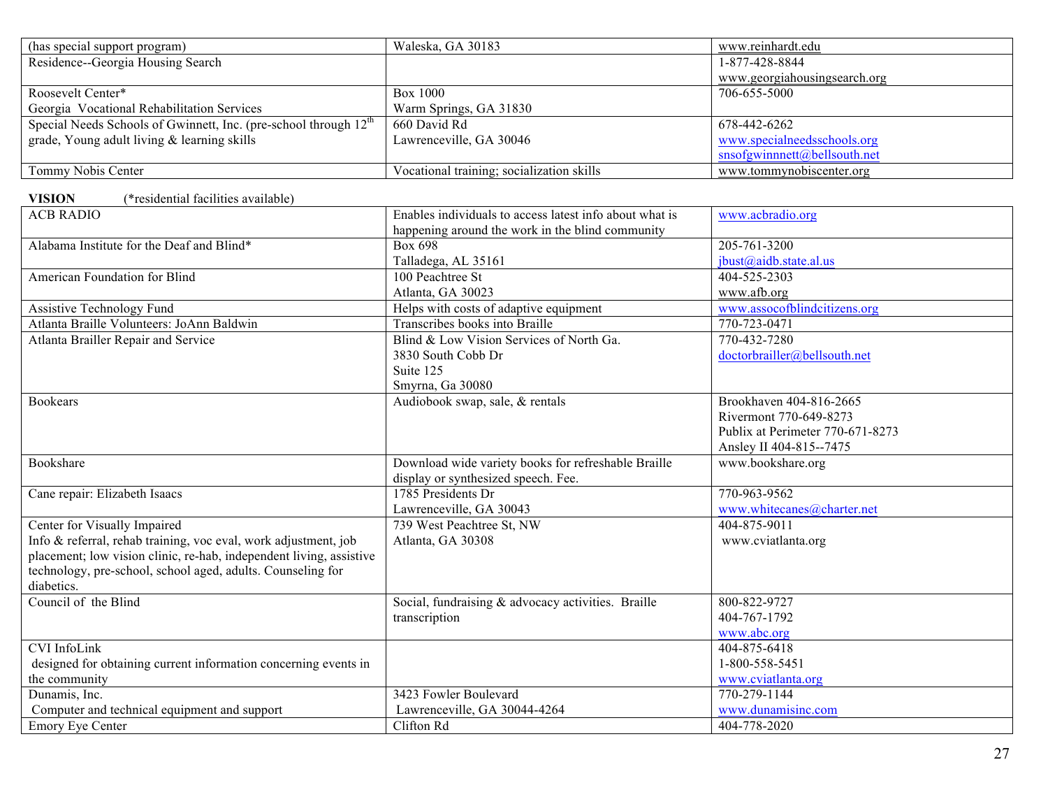| (has special support program)                                                | Waleska, GA 30183                                       | www.reinhardt.edu                |
|------------------------------------------------------------------------------|---------------------------------------------------------|----------------------------------|
| Residence--Georgia Housing Search                                            |                                                         | 1-877-428-8844                   |
|                                                                              |                                                         | www.georgiahousingsearch.org     |
| Roosevelt Center*                                                            | <b>Box 1000</b>                                         | 706-655-5000                     |
| Georgia Vocational Rehabilitation Services                                   | Warm Springs, GA 31830                                  |                                  |
| Special Needs Schools of Gwinnett, Inc. (pre-school through 12 <sup>th</sup> | 660 David Rd                                            | 678-442-6262                     |
| grade, Young adult living & learning skills                                  | Lawrenceville, GA 30046                                 | www.specialneedsschools.org      |
|                                                                              |                                                         | snsofgwinnnett@bellsouth.net     |
| Tommy Nobis Center                                                           | Vocational training; socialization skills               | www.tommynobiscenter.org         |
| <b>VISION</b><br>(*residential facilities available)                         |                                                         |                                  |
| <b>ACB RADIO</b>                                                             | Enables individuals to access latest info about what is | www.acbradio.org                 |
|                                                                              | happening around the work in the blind community        |                                  |
| Alabama Institute for the Deaf and Blind*                                    | <b>Box 698</b>                                          | 205-761-3200                     |
|                                                                              | Talladega, AL 35161                                     | ibust@aidb. state.al.us          |
| American Foundation for Blind                                                | 100 Peachtree St                                        | 404-525-2303                     |
|                                                                              | Atlanta, GA 30023                                       | www.afb.org                      |
| Assistive Technology Fund                                                    | Helps with costs of adaptive equipment                  | www.assocofblindcitizens.org     |
| Atlanta Braille Volunteers: JoAnn Baldwin                                    | Transcribes books into Braille                          | 770-723-0471                     |
| Atlanta Brailler Repair and Service                                          | Blind & Low Vision Services of North Ga.                | 770-432-7280                     |
|                                                                              | 3830 South Cobb Dr                                      | doctorbrailler@bellsouth.net     |
|                                                                              | Suite 125                                               |                                  |
|                                                                              | Smyrna, Ga 30080                                        |                                  |
| <b>Bookears</b>                                                              | Audiobook swap, sale, & rentals                         | Brookhaven 404-816-2665          |
|                                                                              |                                                         | Rivermont 770-649-8273           |
|                                                                              |                                                         | Publix at Perimeter 770-671-8273 |
|                                                                              |                                                         | Ansley II 404-815--7475          |
| Bookshare                                                                    | Download wide variety books for refreshable Braille     | www.bookshare.org                |
|                                                                              | display or synthesized speech. Fee.                     |                                  |
| Cane repair: Elizabeth Isaacs                                                | 1785 Presidents Dr                                      | 770-963-9562                     |
|                                                                              | Lawrenceville, GA 30043                                 | www.whitecanes@charter.net       |
| Center for Visually Impaired                                                 | 739 West Peachtree St, NW                               | 404-875-9011                     |
| Info & referral, rehab training, voc eval, work adjustment, job              | Atlanta, GA 30308                                       | www.cviatlanta.org               |
| placement; low vision clinic, re-hab, independent living, assistive          |                                                         |                                  |
| technology, pre-school, school aged, adults. Counseling for                  |                                                         |                                  |
| diabetics.<br>Council of the Blind                                           |                                                         | 800-822-9727                     |
|                                                                              | Social, fundraising & advocacy activities. Braille      | 404-767-1792                     |
|                                                                              | transcription                                           | www.abc.org                      |
| <b>CVI</b> InfoLink                                                          |                                                         | 404-875-6418                     |
| designed for obtaining current information concerning events in              |                                                         | 1-800-558-5451                   |
| the community                                                                |                                                         | www.cviatlanta.org               |
| Dunamis, Inc.                                                                | 3423 Fowler Boulevard                                   | 770-279-1144                     |
| Computer and technical equipment and support                                 | Lawrenceville, GA 30044-4264                            | www.dunamisinc.com               |
| <b>Emory Eye Center</b>                                                      | Clifton Rd                                              | 404-778-2020                     |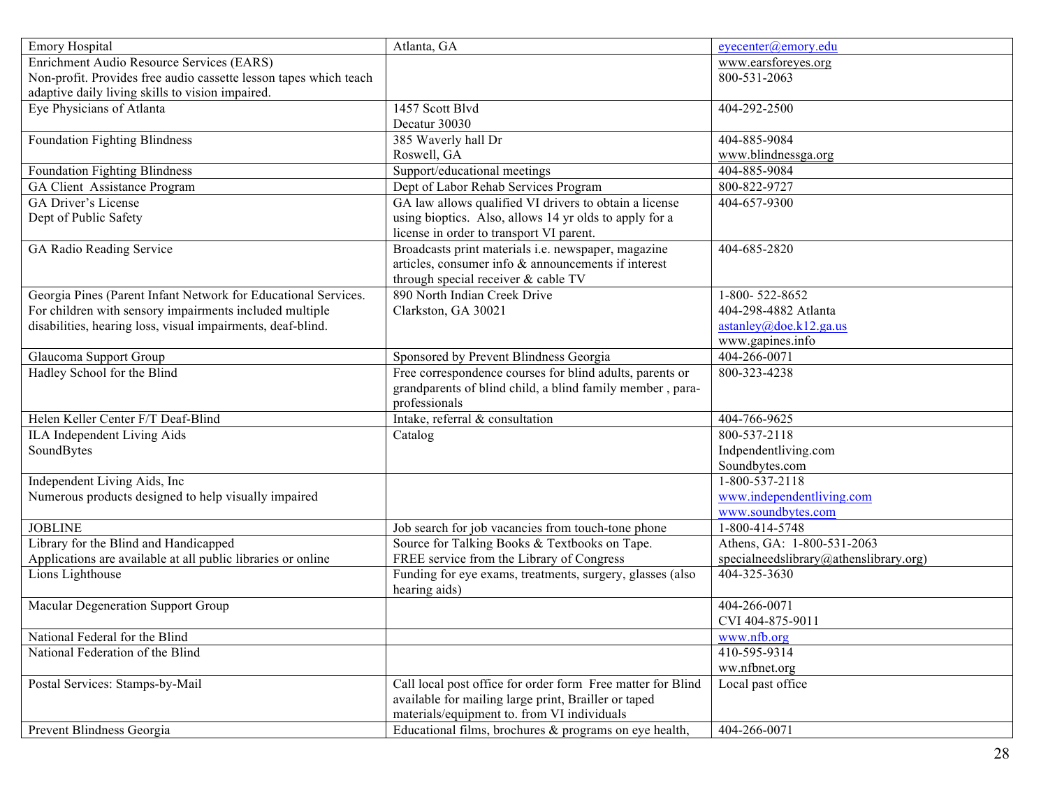| <b>Emory Hospital</b>                                             | Atlanta, GA                                                 | eyecenter@emory.edu                    |
|-------------------------------------------------------------------|-------------------------------------------------------------|----------------------------------------|
| Enrichment Audio Resource Services (EARS)                         |                                                             | www.earsforeyes.org                    |
| Non-profit. Provides free audio cassette lesson tapes which teach |                                                             | 800-531-2063                           |
| adaptive daily living skills to vision impaired.                  |                                                             |                                        |
| Eye Physicians of Atlanta                                         | 1457 Scott Blvd                                             | 404-292-2500                           |
|                                                                   | Decatur 30030                                               |                                        |
| <b>Foundation Fighting Blindness</b>                              | 385 Waverly hall Dr                                         | 404-885-9084                           |
|                                                                   | Roswell, GA                                                 | www.blindnessga.org                    |
| <b>Foundation Fighting Blindness</b>                              | Support/educational meetings                                | 404-885-9084                           |
| GA Client Assistance Program                                      | Dept of Labor Rehab Services Program                        | 800-822-9727                           |
| GA Driver's License                                               | GA law allows qualified VI drivers to obtain a license      | 404-657-9300                           |
| Dept of Public Safety                                             | using bioptics. Also, allows 14 yr olds to apply for a      |                                        |
|                                                                   | license in order to transport VI parent.                    |                                        |
| GA Radio Reading Service                                          | Broadcasts print materials i.e. newspaper, magazine         | 404-685-2820                           |
|                                                                   | articles, consumer info & announcements if interest         |                                        |
|                                                                   | through special receiver & cable TV                         |                                        |
| Georgia Pines (Parent Infant Network for Educational Services.    | 890 North Indian Creek Drive                                | 1-800-522-8652                         |
| For children with sensory impairments included multiple           | Clarkston, GA 30021                                         | 404-298-4882 Atlanta                   |
| disabilities, hearing loss, visual impairments, deaf-blind.       |                                                             | astanley@doe.k12.ga.us                 |
|                                                                   |                                                             | www.gapines.info                       |
| Glaucoma Support Group                                            | Sponsored by Prevent Blindness Georgia                      | 404-266-0071                           |
| Hadley School for the Blind                                       | Free correspondence courses for blind adults, parents or    | 800-323-4238                           |
|                                                                   | grandparents of blind child, a blind family member, para-   |                                        |
|                                                                   | professionals                                               |                                        |
| Helen Keller Center F/T Deaf-Blind                                | Intake, referral & consultation                             | 404-766-9625                           |
| ILA Independent Living Aids                                       | Catalog                                                     | 800-537-2118                           |
| SoundBytes                                                        |                                                             | Indpendentliving.com                   |
|                                                                   |                                                             | Soundbytes.com                         |
| Independent Living Aids, Inc                                      |                                                             | 1-800-537-2118                         |
| Numerous products designed to help visually impaired              |                                                             | www.independentliving.com              |
|                                                                   |                                                             | www.soundbytes.com                     |
| <b>JOBLINE</b>                                                    | Job search for job vacancies from touch-tone phone          | 1-800-414-5748                         |
| Library for the Blind and Handicapped                             | Source for Talking Books & Textbooks on Tape.               | Athens, GA: 1-800-531-2063             |
| Applications are available at all public libraries or online      | FREE service from the Library of Congress                   | specialneedslibrary@athenslibrary.org) |
| Lions Lighthouse                                                  | Funding for eye exams, treatments, surgery, glasses (also   | 404-325-3630                           |
|                                                                   | hearing aids)                                               |                                        |
| Macular Degeneration Support Group                                |                                                             | 404-266-0071                           |
|                                                                   |                                                             | CVI 404-875-9011                       |
| National Federal for the Blind                                    |                                                             | www.nfb.org                            |
| National Federation of the Blind                                  |                                                             | 410-595-9314                           |
|                                                                   |                                                             | ww.nfbnet.org                          |
| Postal Services: Stamps-by-Mail                                   | Call local post office for order form Free matter for Blind | Local past office                      |
|                                                                   | available for mailing large print, Brailler or taped        |                                        |
|                                                                   | materials/equipment to. from VI individuals                 |                                        |
| Prevent Blindness Georgia                                         | Educational films, brochures & programs on eye health,      | 404-266-0071                           |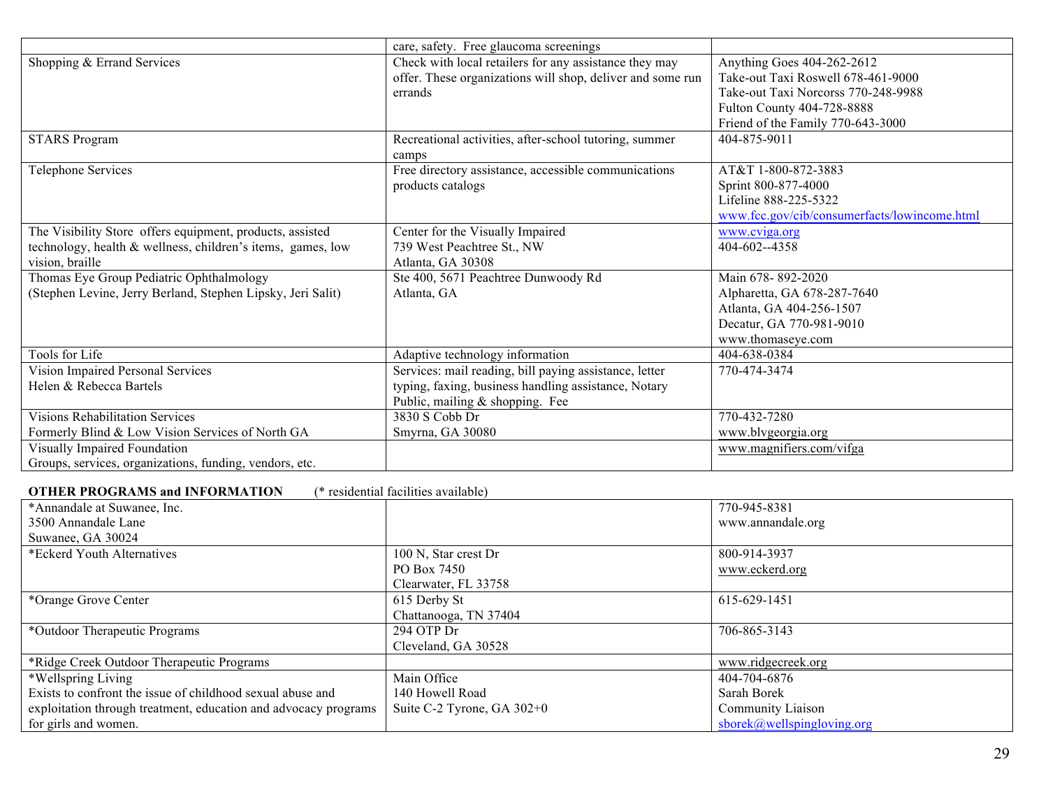|                                                                               | care, safety. Free glaucoma screenings                          |                                              |
|-------------------------------------------------------------------------------|-----------------------------------------------------------------|----------------------------------------------|
| Shopping & Errand Services                                                    | Check with local retailers for any assistance they may          | Anything Goes 404-262-2612                   |
|                                                                               | offer. These organizations will shop, deliver and some run      | Take-out Taxi Roswell 678-461-9000           |
|                                                                               | errands                                                         | Take-out Taxi Norcorss 770-248-9988          |
|                                                                               |                                                                 | Fulton County 404-728-8888                   |
|                                                                               |                                                                 | Friend of the Family 770-643-3000            |
| <b>STARS Program</b>                                                          | Recreational activities, after-school tutoring, summer<br>camps | 404-875-9011                                 |
| <b>Telephone Services</b>                                                     | Free directory assistance, accessible communications            | AT&T 1-800-872-3883                          |
|                                                                               | products catalogs                                               | Sprint 800-877-4000                          |
|                                                                               |                                                                 | Lifeline 888-225-5322                        |
|                                                                               |                                                                 | www.fcc.gov/cib/consumerfacts/lowincome.html |
| The Visibility Store offers equipment, products, assisted                     | Center for the Visually Impaired                                | www.cviga.org                                |
| technology, health & wellness, children's items, games, low                   | 739 West Peachtree St., NW                                      | 404-602--4358                                |
| vision, braille                                                               | Atlanta, GA 30308                                               |                                              |
| Thomas Eye Group Pediatric Ophthalmology                                      | Ste 400, 5671 Peachtree Dunwoody Rd                             | Main 678-892-2020                            |
| (Stephen Levine, Jerry Berland, Stephen Lipsky, Jeri Salit)                   | Atlanta, GA                                                     | Alpharetta, GA 678-287-7640                  |
|                                                                               |                                                                 | Atlanta, GA 404-256-1507                     |
|                                                                               |                                                                 | Decatur, GA 770-981-9010                     |
|                                                                               |                                                                 | www.thomaseye.com                            |
| Tools for Life                                                                | Adaptive technology information                                 | 404-638-0384                                 |
| Vision Impaired Personal Services                                             | Services: mail reading, bill paying assistance, letter          | 770-474-3474                                 |
| Helen & Rebecca Bartels                                                       | typing, faxing, business handling assistance, Notary            |                                              |
|                                                                               | Public, mailing & shopping. Fee                                 |                                              |
| <b>Visions Rehabilitation Services</b>                                        | 3830 S Cobb Dr                                                  | 770-432-7280                                 |
| Formerly Blind & Low Vision Services of North GA                              | Smyrna, GA 30080                                                | www.blvgeorgia.org                           |
| Visually Impaired Foundation                                                  |                                                                 | www.magnifiers.com/vifga                     |
| Groups, services, organizations, funding, vendors, etc.                       |                                                                 |                                              |
| <b>OTHER PROGRAMS and INFORMATION</b><br>(* residential facilities available) |                                                                 |                                              |
| $*A$ nuandala at $S$                                                          |                                                                 | 770.045.0201                                 |

| *Annandale at Suwanee, Inc.                                     |                              | 770-945-8381               |
|-----------------------------------------------------------------|------------------------------|----------------------------|
| 3500 Annandale Lane                                             |                              | www.annandale.org          |
| Suwanee, GA 30024                                               |                              |                            |
| *Eckerd Youth Alternatives                                      | 100 N, Star crest Dr         | 800-914-3937               |
|                                                                 | PO Box 7450                  | www.eckerd.org             |
|                                                                 | Clearwater, FL 33758         |                            |
| *Orange Grove Center                                            | 615 Derby St                 | 615-629-1451               |
|                                                                 | Chattanooga, TN 37404        |                            |
| *Outdoor Therapeutic Programs                                   | 294 OTP Dr                   | 706-865-3143               |
|                                                                 | Cleveland, GA 30528          |                            |
| *Ridge Creek Outdoor Therapeutic Programs                       |                              | www.ridgecreek.org         |
| *Wellspring Living                                              | Main Office                  | 404-704-6876               |
| Exists to confront the issue of childhood sexual abuse and      | 140 Howell Road              | Sarah Borek                |
| exploitation through treatment, education and advocacy programs | Suite C-2 Tyrone, GA $302+0$ | Community Liaison          |
| for girls and women.                                            |                              | sborek@wellspingloving.org |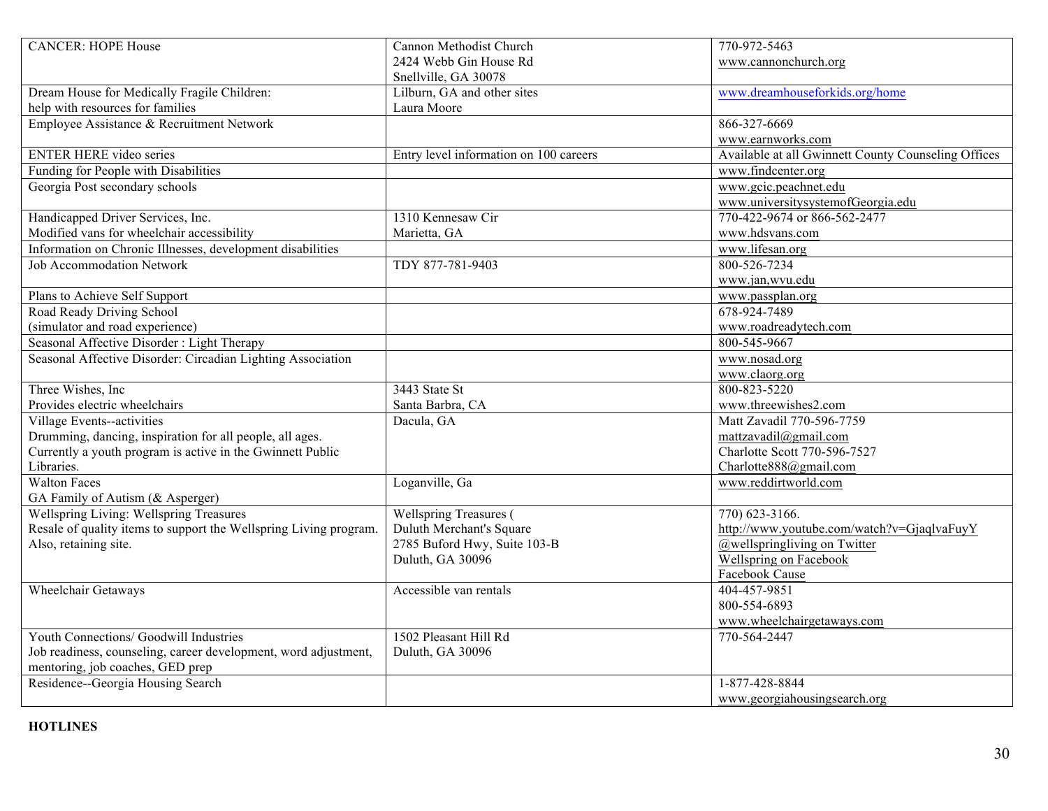| <b>CANCER: HOPE House</b>                                         | Cannon Methodist Church                | 770-972-5463                                        |
|-------------------------------------------------------------------|----------------------------------------|-----------------------------------------------------|
|                                                                   | 2424 Webb Gin House Rd                 | www.cannonchurch.org                                |
|                                                                   | Snellville, GA 30078                   |                                                     |
| Dream House for Medically Fragile Children:                       | Lilburn, GA and other sites            | www.dreamhouseforkids.org/home                      |
| help with resources for families                                  | Laura Moore                            |                                                     |
| Employee Assistance & Recruitment Network                         |                                        | 866-327-6669                                        |
|                                                                   |                                        | www.earnworks.com                                   |
| <b>ENTER HERE video series</b>                                    | Entry level information on 100 careers | Available at all Gwinnett County Counseling Offices |
| Funding for People with Disabilities                              |                                        | www.findcenter.org                                  |
| Georgia Post secondary schools                                    |                                        | www.gcic.peachnet.edu                               |
|                                                                   |                                        | www.universitysystemofGeorgia.edu                   |
| Handicapped Driver Services, Inc.                                 | 1310 Kennesaw Cir                      | 770-422-9674 or 866-562-2477                        |
| Modified vans for wheelchair accessibility                        | Marietta, GA                           | www.hdsvans.com                                     |
| Information on Chronic Illnesses, development disabilities        |                                        | www.lifesan.org                                     |
| <b>Job Accommodation Network</b>                                  | TDY 877-781-9403                       | 800-526-7234                                        |
|                                                                   |                                        | www.jan,wvu.edu                                     |
| Plans to Achieve Self Support                                     |                                        | www.passplan.org                                    |
| Road Ready Driving School                                         |                                        | 678-924-7489                                        |
| (simulator and road experience)                                   |                                        | www.roadreadytech.com                               |
| Seasonal Affective Disorder: Light Therapy                        |                                        | 800-545-9667                                        |
| Seasonal Affective Disorder: Circadian Lighting Association       |                                        | www.nosad.org                                       |
|                                                                   |                                        | www.claorg.org                                      |
| Three Wishes, Inc.                                                | 3443 State St                          | 800-823-5220                                        |
| Provides electric wheelchairs                                     | Santa Barbra, CA                       | www.threewishes2.com                                |
| <b>Village Events--activities</b>                                 | Dacula, GA                             | Matt Zavadil 770-596-7759                           |
| Drumming, dancing, inspiration for all people, all ages.          |                                        | mattzavadil@gmail.com                               |
| Currently a youth program is active in the Gwinnett Public        |                                        | Charlotte Scott 770-596-7527                        |
| Libraries.                                                        |                                        | Charlotte888@gmail.com                              |
| <b>Walton Faces</b>                                               | Loganville, Ga                         | www.reddirtworld.com                                |
| GA Family of Autism (& Asperger)                                  |                                        |                                                     |
| <b>Wellspring Living: Wellspring Treasures</b>                    | Wellspring Treasures (                 | 770) 623-3166.                                      |
| Resale of quality items to support the Wellspring Living program. | Duluth Merchant's Square               | http://www.youtube.com/watch?v=GjaqlvaFuyY          |
| Also, retaining site.                                             | 2785 Buford Hwy, Suite 103-B           | $@$ wellspringliving on Twitter                     |
|                                                                   | Duluth, GA 30096                       | Wellspring on Facebook                              |
|                                                                   |                                        | Facebook Cause                                      |
| Wheelchair Getaways                                               | Accessible van rentals                 | 404-457-9851                                        |
|                                                                   |                                        | 800-554-6893                                        |
|                                                                   |                                        | www.wheelchairgetaways.com                          |
| Youth Connections/ Goodwill Industries                            | 1502 Pleasant Hill Rd                  | 770-564-2447                                        |
| Job readiness, counseling, career development, word adjustment,   | Duluth, GA 30096                       |                                                     |
| mentoring, job coaches, GED prep                                  |                                        |                                                     |
| Residence--Georgia Housing Search                                 |                                        | 1-877-428-8844                                      |
|                                                                   |                                        | www.georgiahousingsearch.org                        |